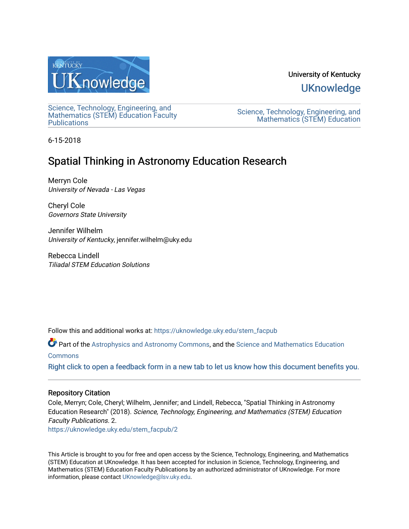

University of Kentucky **UKnowledge** 

[Science, Technology, Engineering, and](https://uknowledge.uky.edu/stem_facpub)  [Mathematics \(STEM\) Education Faculty](https://uknowledge.uky.edu/stem_facpub)  **Publications** 

[Science, Technology, Engineering, and](https://uknowledge.uky.edu/stem)  [Mathematics \(STEM\) Education](https://uknowledge.uky.edu/stem) 

6-15-2018

# Spatial Thinking in Astronomy Education Research

Merryn Cole University of Nevada - Las Vegas

Cheryl Cole Governors State University

Jennifer Wilhelm University of Kentucky, jennifer.wilhelm@uky.edu

Rebecca Lindell Tiliadal STEM Education Solutions

Follow this and additional works at: [https://uknowledge.uky.edu/stem\\_facpub](https://uknowledge.uky.edu/stem_facpub?utm_source=uknowledge.uky.edu%2Fstem_facpub%2F2&utm_medium=PDF&utm_campaign=PDFCoverPages)

Part of the [Astrophysics and Astronomy Commons,](http://network.bepress.com/hgg/discipline/123?utm_source=uknowledge.uky.edu%2Fstem_facpub%2F2&utm_medium=PDF&utm_campaign=PDFCoverPages) and the Science and Mathematics Education

## [Commons](http://network.bepress.com/hgg/discipline/800?utm_source=uknowledge.uky.edu%2Fstem_facpub%2F2&utm_medium=PDF&utm_campaign=PDFCoverPages)

[Right click to open a feedback form in a new tab to let us know how this document benefits you.](https://uky.az1.qualtrics.com/jfe/form/SV_9mq8fx2GnONRfz7)

## Repository Citation

Cole, Merryn; Cole, Cheryl; Wilhelm, Jennifer; and Lindell, Rebecca, "Spatial Thinking in Astronomy Education Research" (2018). Science, Technology, Engineering, and Mathematics (STEM) Education Faculty Publications. 2.

[https://uknowledge.uky.edu/stem\\_facpub/2](https://uknowledge.uky.edu/stem_facpub/2?utm_source=uknowledge.uky.edu%2Fstem_facpub%2F2&utm_medium=PDF&utm_campaign=PDFCoverPages)

This Article is brought to you for free and open access by the Science, Technology, Engineering, and Mathematics (STEM) Education at UKnowledge. It has been accepted for inclusion in Science, Technology, Engineering, and Mathematics (STEM) Education Faculty Publications by an authorized administrator of UKnowledge. For more information, please contact [UKnowledge@lsv.uky.edu](mailto:UKnowledge@lsv.uky.edu).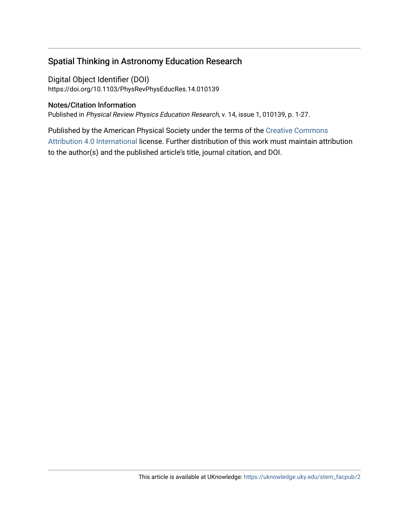## Spatial Thinking in Astronomy Education Research

Digital Object Identifier (DOI) https://doi.org/10.1103/PhysRevPhysEducRes.14.010139

## Notes/Citation Information

Published in Physical Review Physics Education Research, v. 14, issue 1, 010139, p. 1-27.

Published by the American Physical Society under the terms of the [Creative Commons](https://creativecommons.org/licenses/by/4.0/) [Attribution 4.0 International](https://creativecommons.org/licenses/by/4.0/) license. Further distribution of this work must maintain attribution to the author(s) and the published article's title, journal citation, and DOI.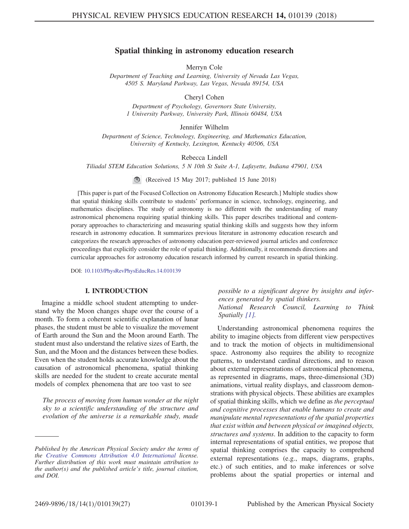### Spatial thinking in astronomy education research

Merryn Cole

Department of Teaching and Learning, University of Nevada Las Vegas, 4505 S. Maryland Parkway, Las Vegas, Nevada 89154, USA

Cheryl Cohen

Department of Psychology, Governors State University, 1 University Parkway, University Park, Illinois 60484, USA

Jennifer Wilhelm

Department of Science, Technology, Engineering, and Mathematics Education, University of Kentucky, Lexington, Kentucky 40506, USA

Rebecca Lindell

Tiliadal STEM Education Solutions, 5 N 10th St Suite A-1, Lafayette, Indiana 47901, USA

(Received 15 May 2017; published 15 June 2018)

[This paper is part of the Focused Collection on Astronomy Education Research.] Multiple studies show that spatial thinking skills contribute to students' performance in science, technology, engineering, and mathematics disciplines. The study of astronomy is no different with the understanding of many astronomical phenomena requiring spatial thinking skills. This paper describes traditional and contemporary approaches to characterizing and measuring spatial thinking skills and suggests how they inform research in astronomy education. It summarizes previous literature in astronomy education research and categorizes the research approaches of astronomy education peer-reviewed journal articles and conference proceedings that explicitly consider the role of spatial thinking. Additionally, it recommends directions and curricular approaches for astronomy education research informed by current research in spatial thinking.

DOI: [10.1103/PhysRevPhysEducRes.14.010139](https://doi.org/10.1103/PhysRevPhysEducRes.14.010139)

#### I. INTRODUCTION

Imagine a middle school student attempting to understand why the Moon changes shape over the course of a month. To form a coherent scientific explanation of lunar phases, the student must be able to visualize the movement of Earth around the Sun and the Moon around Earth. The student must also understand the relative sizes of Earth, the Sun, and the Moon and the distances between these bodies. Even when the student holds accurate knowledge about the causation of astronomical phenomena, spatial thinking skills are needed for the student to create accurate mental models of complex phenomena that are too vast to see

The process of moving from human wonder at the night sky to a scientific understanding of the structure and evolution of the universe is a remarkable study, made

possible to a significant degree by insights and inferences generated by spatial thinkers. National Research Council, Learning to Think Spatially [\[1\].](#page-25-0)

Understanding astronomical phenomena requires the ability to imagine objects from different view perspectives and to track the motion of objects in multidimensional space. Astronomy also requires the ability to recognize patterns, to understand cardinal directions, and to reason about external representations of astronomical phenomena, as represented in diagrams, maps, three-dimensional (3D) animations, virtual reality displays, and classroom demonstrations with physical objects. These abilities are examples of spatial thinking skills, which we define as the perceptual and cognitive processes that enable humans to create and manipulate mental representations of the spatial properties that exist within and between physical or imagined objects, structures and systems. In addition to the capacity to form internal representations of spatial entities, we propose that spatial thinking comprises the capacity to comprehend external representations (e.g., maps, diagrams, graphs, etc.) of such entities, and to make inferences or solve problems about the spatial properties or internal and

Published by the American Physical Society under the terms of the [Creative Commons Attribution 4.0 International](https://creativecommons.org/licenses/by/4.0/) license. Further distribution of this work must maintain attribution to the author(s) and the published article's title, journal citation, and DOI.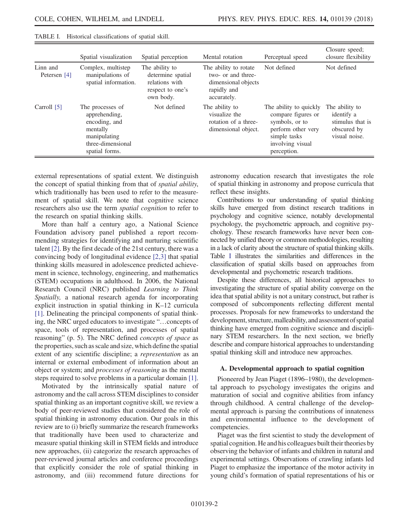|                          | Spatial visualization                                                                                                 | Spatial perception                                                                     | Mental rotation                                                                                  | Perceptual speed                                                                                                                        | Closure speed;<br>closure flexibility                                            |
|--------------------------|-----------------------------------------------------------------------------------------------------------------------|----------------------------------------------------------------------------------------|--------------------------------------------------------------------------------------------------|-----------------------------------------------------------------------------------------------------------------------------------------|----------------------------------------------------------------------------------|
| Linn and<br>Petersen [4] | Complex, multistep<br>manipulations of<br>spatial information.                                                        | The ability to<br>determine spatial<br>relations with<br>respect to one's<br>own body. | The ability to rotate<br>two- or and three-<br>dimensional objects<br>rapidly and<br>accurately. | Not defined                                                                                                                             | Not defined                                                                      |
| Carroll [5]              | The processes of<br>apprehending,<br>encoding, and<br>mentally<br>manipulating<br>three-dimensional<br>spatial forms. | Not defined                                                                            | The ability to<br>visualize the<br>rotation of a three-<br>dimensional object.                   | The ability to quickly<br>compare figures or<br>symbols, or to<br>perform other very<br>simple tasks<br>involving visual<br>perception. | The ability to<br>identify a<br>stimulus that is<br>obscured by<br>visual noise. |

<span id="page-3-0"></span>TABLE I. Historical classifications of spatial skill.

external representations of spatial extent. We distinguish the concept of spatial thinking from that of spatial ability, which traditionally has been used to refer to the measurement of spatial skill. We note that cognitive science researchers also use the term spatial cognition to refer to the research on spatial thinking skills.

More than half a century ago, a National Science Foundation advisory panel published a report recommending strategies for identifying and nurturing scientific talent [\[2\]](#page-25-1). By the first decade of the 21st century, there was a convincing body of longitudinal evidence [\[2,3\]](#page-25-1) that spatial thinking skills measured in adolescence predicted achievement in science, technology, engineering, and mathematics (STEM) occupations in adulthood. In 2006, the National Research Council (NRC) published Learning to Think Spatially, a national research agenda for incorporating explicit instruction in spatial thinking in K–12 curricula [\[1\]](#page-25-0). Delineating the principal components of spatial thinking, the NRC urged educators to investigate "…concepts of space, tools of representation, and processes of spatial reasoning" (p. 5). The NRC defined concepts of space as the properties, such as scale and size, which define the spatial extent of any scientific discipline; a representation as an internal or external embodiment of information about an object or system; and processes of reasoning as the mental steps required to solve problems in a particular domain [\[1\]](#page-25-0).

Motivated by the intrinsically spatial nature of astronomy and the call across STEM disciplines to consider spatial thinking as an important cognitive skill, we review a body of peer-reviewed studies that considered the role of spatial thinking in astronomy education. Our goals in this review are to (i) briefly summarize the research frameworks that traditionally have been used to characterize and measure spatial thinking skill in STEM fields and introduce new approaches, (ii) categorize the research approaches of peer-reviewed journal articles and conference proceedings that explicitly consider the role of spatial thinking in astronomy, and (iii) recommend future directions for

astronomy education research that investigates the role of spatial thinking in astronomy and propose curricula that reflect these insights.

Contributions to our understanding of spatial thinking skills have emerged from distinct research traditions in psychology and cognitive science, notably developmental psychology, the psychometric approach, and cognitive psychology. These research frameworks have never been connected by unified theory or common methodologies, resulting in a lack of clarity about the structure of spatial thinking skills. Table [I](#page-3-0) illustrates the similarities and differences in the classification of spatial skills based on approaches from developmental and psychometric research traditions.

Despite these differences, all historical approaches to investigating the structure of spatial ability converge on the idea that spatial ability is not a unitary construct, but rather is composed of subcomponents reflecting different mental processes. Proposals for new frameworks to understand the development, structure, malleability, and assessment of spatial thinking have emerged from cognitive science and disciplinary STEM researchers. In the next section, we briefly describe and compare historical approaches to understanding spatial thinking skill and introduce new approaches.

#### A. Developmental approach to spatial cognition

Pioneered by Jean Piaget (1896–1980), the developmental approach to psychology investigates the origins and maturation of social and cognitive abilities from infancy through childhood. A central challenge of the developmental approach is parsing the contributions of innateness and environmental influence to the development of competencies.

Piaget was the first scientist to study the development of spatial cognition. He and his colleagues built their theories by observing the behavior of infants and children in natural and experimental settings. Observations of crawling infants led Piaget to emphasize the importance of the motor activity in young child's formation of spatial representations of his or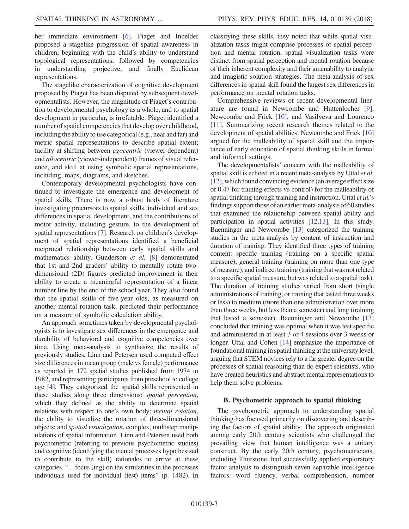her immediate environment [\[6\].](#page-25-4) Piaget and Inhelder proposed a stagelike progression of spatial awareness in children, beginning with the child's ability to understand topological representations, followed by competencies in understanding projective, and finally Euclidean representations.

The stagelike characterization of cognitive development proposed by Piaget has been disputed by subsequent developmentalists. However, the magnitude of Piaget's contribution to developmental psychology as a whole, and to spatial development in particular, is irrefutable. Piaget identified a number of spatial competencies that develop over childhood, including the ability to use categorical (e.g., near and far) and metric spatial representations to describe spatial extent; facility at shifting between egocentric (viewer-dependent) and allocentric (viewer-independent) frames of visual reference, and skill at using symbolic spatial representations, including, maps, diagrams, and sketches.

Contemporary developmental psychologists have continued to investigate the emergence and development of spatial skills. There is now a robust body of literature investigating precursors to spatial skills, individual and sex differences in spatial development, and the contributions of motor activity, including gesture, to the development of spatial representations [\[7\].](#page-25-5) Research on children's development of spatial representations identified a beneficial reciprocal relationship between early spatial skills and mathematics ability. Gunderson et al. [\[8\]](#page-25-6) demonstrated that 1st and 2nd graders' ability to mentally rotate twodimensional (2D) figures predicted improvement in their ability to create a meaningful representation of a linear number line by the end of the school year. They also found that the spatial skills of five-year olds, as measured on another mental rotation task, predicted their performance on a measure of symbolic calculation ability.

An approach sometimes taken by developmental psychologists is to investigate sex differences in the emergence and durability of behavioral and cognitive competencies over time. Using meta-analysis to synthesize the results of previously studies, Linn and Petersen used computed effect size differences in mean group (male vs female) performance as reported in 172 spatial studies published from 1974 to 1982, and representing participants from preschool to college age [\[4\]](#page-25-2). They categorized the spatial skills represented in these studies along three dimensions: spatial perception, which they defined as the ability to determine spatial relations with respect to one's own body; mental rotation, the ability to visualize the rotation of three-dimensional objects; and spatial visualization, complex, multistep manipulations of spatial information. Linn and Petersen used both psychometric (referring to previous psychometric studies) and cognitive (identifying the mental processes hypothesized to contribute to the skill) rationales to arrive at these categories, "…focus (ing) on the similarities in the processes individuals used for individual (test) items" (p. 1482). In classifying these skills, they noted that while spatial visualization tasks might comprise processes of spatial perception and mental rotation, spatial visualization tasks were distinct from spatial perception and mental rotation because of their inherent complexity and their amenability to analytic and imagistic solution strategies. The meta-analysis of sex differences in spatial skill found the largest sex differences in performance on mental rotation tasks.

Comprehensive reviews of recent developmental literature are found in Newcombe and Huttenlocher [\[9\]](#page-25-7), Newcombe and Frick [\[10\],](#page-25-8) and Vasilyeva and Lourenco [\[11\]](#page-25-9). Summarizing recent research themes related to the development of spatial abilities, Newcombe and Frick [\[10\]](#page-25-8) argued for the malleability of spatial skill and the importance of early education of spatial thinking skills in formal and informal settings.

The developmentalists' concern with the malleability of spatial skill is echoed in a recent meta-analysis by Uttal et al. [\[12\],](#page-25-10) which found convincing evidence (an average effect size of 0.47 for training effects vs control) for the malleability of spatial thinking through training and instruction. Uttal et al.'s findings support those of an earlier meta-analysis of 60 studies that examined the relationship between spatial ability and participation in spatial activities [\[12,13\]](#page-25-10). In this study, Baenninger and Newcombe [\[13\]](#page-25-11) categorized the training studies in the meta-analysis by content of instruction and duration of training. They identified three types of training content: specific training (training on a specific spatial measure); general training (training on more than one type of measure); and indirect training (training that was not related to a specific spatial measure, but was related to a spatial task). The duration of training studies varied from short (single administrations of training, or training that lasted three weeks or less) to medium (more than one administration over more than three weeks, but less than a semester) and long (training that lasted a semester). Baenninger and Newcombe [\[13\]](#page-25-11) concluded that training was optimal when it was test specific and administered in at least 3 or 4 sessions over 3 weeks or longer. Uttal and Cohen [\[14\]](#page-25-12) emphasize the importance of foundational training in spatial thinking at the university level, arguing that STEM novices rely to a far greater degree on the processes of spatial reasoning than do expert scientists, who have created heuristics and abstract mental representations to help them solve problems.

#### B. Psychometric approach to spatial thinking

The psychometric approach to understanding spatial thinking has focused primarily on discovering and describing the factors of spatial ability. The approach originated among early 20th century scientists who challenged the prevailing view that human intelligence was a unitary construct. By the early 20th century, psychometricians, including Thurstone, had successfully applied exploratory factor analysis to distinguish seven separable intelligence factors: word fluency, verbal comprehension, number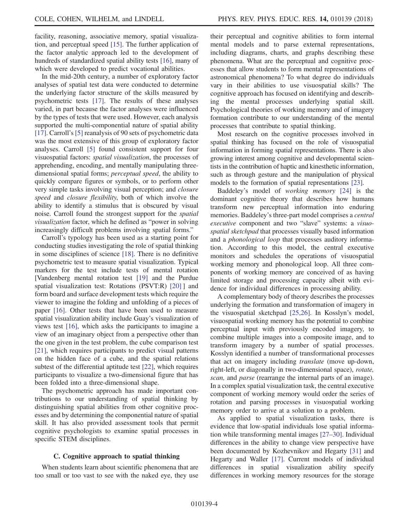facility, reasoning, associative memory, spatial visualization, and perceptual speed [\[15\].](#page-25-13) The further application of the factor analytic approach led to the development of hundreds of standardized spatial ability tests [\[16\]](#page-25-14), many of which were developed to predict vocational abilities.

In the mid-20th century, a number of exploratory factor analyses of spatial test data were conducted to determine the underlying factor structure of the skills measured by psychometric tests [\[17\].](#page-25-15) The results of these analyses varied, in part because the factor analyses were influenced by the types of tests that were used. However, each analysis supported the multi-componential nature of spatial ability [\[17\]](#page-25-15). Carroll's [\[5\]](#page-25-3) reanalysis of 90 sets of psychometric data was the most extensive of this group of exploratory factor analyses. Carroll [\[5\]](#page-25-3) found consistent support for four visuospatial factors: spatial visualization, the processes of apprehending, encoding, and mentally manipulating threedimensional spatial forms; perceptual speed, the ability to quickly compare figures or symbols, or to perform other very simple tasks involving visual perception; and closure speed and closure flexibility, both of which involve the ability to identify a stimulus that is obscured by visual noise. Carroll found the strongest support for the spatial visualization factor, which he defined as "power in solving increasingly difficult problems involving spatial forms."

Carroll's typology has been used as a starting point for conducting studies investigating the role of spatial thinking in some disciplines of science [\[18\].](#page-25-16) There is no definitive psychometric test to measure spatial visualization. Typical markers for the test include tests of mental rotation [Vandenberg mental rotation test [\[19\]](#page-25-17) and the Purdue spatial visualization test: Rotations (PSVT:R) [\[20\]](#page-25-18) ] and form board and surface development tests which require the viewer to imagine the folding and unfolding of a pieces of paper [\[16\]](#page-25-14). Other tests that have been used to measure spatial visualization ability include Guay's visualization of views test [\[16\],](#page-25-14) which asks the participants to imagine a view of an imaginary object from a perspective other than the one given in the test problem, the cube comparison test [\[21\]](#page-25-19), which requires participants to predict visual patterns on the hidden face of a cube, and the spatial relations subtest of the differential aptitude test [\[22\],](#page-25-20) which requires participants to visualize a two-dimensional figure that has been folded into a three-dimensional shape.

The psychometric approach has made important contributions to our understanding of spatial thinking by distinguishing spatial abilities from other cognitive processes and by determining the componential nature of spatial skill. It has also provided assessment tools that permit cognitive psychologists to examine spatial processes in specific STEM disciplines.

#### C. Cognitive approach to spatial thinking

When students learn about scientific phenomena that are too small or too vast to see with the naked eye, they use their perceptual and cognitive abilities to form internal mental models and to parse external representations, including diagrams, charts, and graphs describing these phenomena. What are the perceptual and cognitive processes that allow students to form mental representations of astronomical phenomena? To what degree do individuals vary in their abilities to use visuospatial skills? The cognitive approach has focused on identifying and describing the mental processes underlying spatial skill. Psychological theories of working memory and of imagery formation contribute to our understanding of the mental processes that contribute to spatial thinking.

Most research on the cognitive processes involved in spatial thinking has focused on the role of visuospatial information in forming spatial representations. There is also growing interest among cognitive and developmental scientists in the contribution of haptic and kinesthetic information, such as through gesture and the manipulation of physical models to the formation of spatial representations [\[23\].](#page-25-21)

Baddeley's model of working memory [\[24\]](#page-25-22) is the dominant cognitive theory that describes how humans transform new perceptual information into enduring memories. Baddeley's three-part model comprises a central executive component and two "slave" systems: a visuospatial sketchpad that processes visually based information and a *phonological loop* that processes auditory information. According to this model, the central executive monitors and schedules the operations of visuospatial working memory and phonological loop. All three components of working memory are conceived of as having limited storage and processing capacity albeit with evidence for individual differences in processing ability.

A complementary body of theory describes the processes underlying the formation and transformation of imagery in the visuospatial sketchpad [\[25,26\]](#page-25-23). In Kosslyn's model, visuospatial working memory has the potential to combine perceptual input with previously encoded imagery, to combine multiple images into a composite image, and to transform imagery by a number of spatial processes. Kosslyn identified a number of transformational processes that act on imagery including translate (move up-down, right-left, or diagonally in two-dimensional space), rotate, scan, and parse (rearrange the internal parts of an image). In a complex spatial visualization task, the central executive component of working memory would order the series of rotation and parsing processes in visuospatial working memory order to arrive at a solution to a problem.

As applied to spatial visualization tasks, there is evidence that low-spatial individuals lose spatial information while transforming mental images [\[27](#page-25-24)–30]. Individual differences in the ability to change view perspective have been documented by Kozhevnikov and Hegarty [\[31\]](#page-26-0) and Hegarty and Waller [\[17\].](#page-25-15) Current models of individual differences in spatial visualization ability specify differences in working memory resources for the storage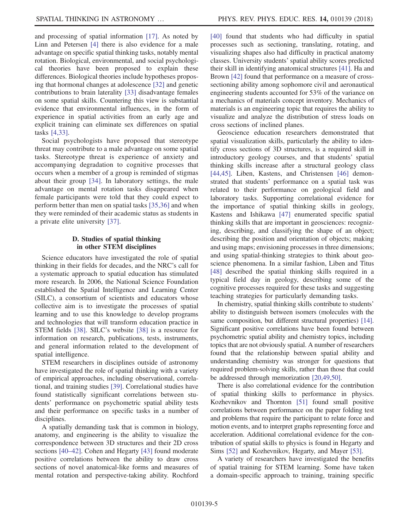and processing of spatial information [\[17\].](#page-25-15) As noted by Linn and Petersen [\[4\]](#page-25-2) there is also evidence for a male advantage on specific spatial thinking tasks, notably mental rotation. Biological, environmental, and social psychological theories have been proposed to explain these differences. Biological theories include hypotheses proposing that hormonal changes at adolescence [\[32\]](#page-26-1) and genetic contributions to brain laterality [\[33\]](#page-26-2) disadvantage females on some spatial skills. Countering this view is substantial evidence that environmental influences, in the form of experience in spatial activities from an early age and explicit training can eliminate sex differences on spatial tasks [\[4,33\].](#page-25-2)

Social psychologists have proposed that stereotype threat may contribute to a male advantage on some spatial tasks. Stereotype threat is experience of anxiety and accompanying degradation to cognitive processes that occurs when a member of a group is reminded of stigmas about their group [\[34\].](#page-26-3) In laboratory settings, the male advantage on mental rotation tasks disappeared when female participants were told that they could expect to perform better than men on spatial tasks [\[35,36\]](#page-26-4) and when they were reminded of their academic status as students in a private elite university [\[37\]](#page-26-5).

#### D. Studies of spatial thinking in other STEM disciplines

Science educators have investigated the role of spatial thinking in their fields for decades, and the NRC's call for a systematic approach to spatial education has stimulated more research. In 2006, the National Science Foundation established the Spatial Intelligence and Learning Center (SILC), a consortium of scientists and educators whose collective aim is to investigate the processes of spatial learning and to use this knowledge to develop programs and technologies that will transform education practice in STEM fields [\[38\]](#page-26-6). SILC's website [\[38\]](#page-26-6) is a resource for information on research, publications, tests, instruments, and general information related to the development of spatial intelligence.

STEM researchers in disciplines outside of astronomy have investigated the role of spatial thinking with a variety of empirical approaches, including observational, correlational, and training studies [\[39\]](#page-26-7). Correlational studies have found statistically significant correlations between students' performance on psychometric spatial ability tests and their performance on specific tasks in a number of disciplines.

A spatially demanding task that is common in biology, anatomy, and engineering is the ability to visualize the correspondence between 3D structures and their 2D cross sections [\[40](#page-26-8)–42]. Cohen and Hegarty [\[43\]](#page-26-9) found moderate positive correlations between the ability to draw cross sections of novel anatomical-like forms and measures of mental rotation and perspective-taking ability. Rochford [\[40\]](#page-26-8) found that students who had difficulty in spatial processes such as sectioning, translating, rotating, and visualizing shapes also had difficulty in practical anatomy classes. University students' spatial ability scores predicted their skill in identifying anatomical structures [\[41\].](#page-26-10) Ha and Brown [\[42\]](#page-26-11) found that performance on a measure of crosssectioning ability among sophomore civil and aeronautical engineering students accounted for 53% of the variance on a mechanics of materials concept inventory. Mechanics of materials is an engineering topic that requires the ability to visualize and analyze the distribution of stress loads on cross sections of inclined planes.

Geoscience education researchers demonstrated that spatial visualization skills, particularly the ability to identify cross sections of 3D structures, is a required skill in introductory geology courses, and that students' spatial thinking skills increase after a structural geology class [\[44,45\]](#page-26-12). Liben, Kastens, and Christensen [\[46\]](#page-26-13) demonstrated that students' performance on a spatial task was related to their performance on geological field and laboratory tasks. Supporting correlational evidence for the importance of spatial thinking skills in geology, Kastens and Ishikawa [\[47\]](#page-26-14) enumerated specific spatial thinking skills that are important in geosciences: recognizing, describing, and classifying the shape of an object; describing the position and orientation of objects; making and using maps; envisioning processes in three dimensions; and using spatial-thinking strategies to think about geoscience phenomena. In a similar fashion, Liben and Titus [\[48\]](#page-26-15) described the spatial thinking skills required in a typical field day in geology, describing some of the cognitive processes required for these tasks and suggesting teaching strategies for particularly demanding tasks.

In chemistry, spatial thinking skills contribute to students' ability to distinguish between isomers (molecules with the same composition, but different structural properties) [\[14\]](#page-25-12). Significant positive correlations have been found between psychometric spatial ability and chemistry topics, including topics that are not obviously spatial. A number of researchers found that the relationship between spatial ability and understanding chemistry was stronger for questions that required problem-solving skills, rather than those that could be addressed through memorization [\[20,49,50\].](#page-25-18)

There is also correlational evidence for the contribution of spatial thinking skills to performance in physics. Kozhevnikov and Thornton [\[51\]](#page-26-16) found small positive correlations between performance on the paper folding test and problems that require the participant to relate force and motion events, and to interpret graphs representing force and acceleration. Additional correlational evidence for the contribution of spatial skills to physics is found in Hegarty and Sims [\[52\]](#page-26-17) and Kozhevnikov, Hegarty, and Mayer [\[53\]](#page-26-18).

A variety of researchers have investigated the benefits of spatial training for STEM learning. Some have taken a domain-specific approach to training, training specific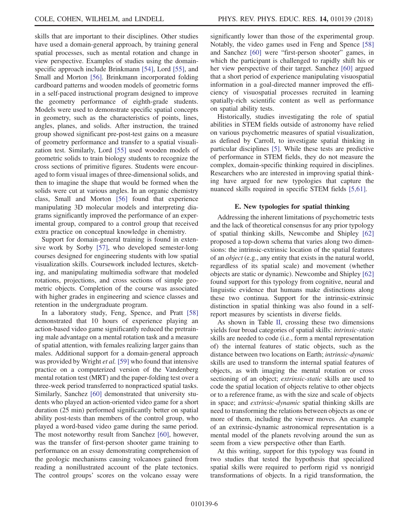skills that are important to their disciplines. Other studies have used a domain-general approach, by training general spatial processes, such as mental rotation and change in view perspective. Examples of studies using the domain-specific approach include Brinkmann [\[54\],](#page-26-19) Lord [\[55\]](#page-26-20), and Small and Morton [\[56\]](#page-26-21). Brinkmann incorporated folding cardboard patterns and wooden models of geometric forms in a self-paced instructional program designed to improve the geometry performance of eighth-grade students. Models were used to demonstrate specific spatial concepts in geometry, such as the characteristics of points, lines, angles, planes, and solids. After instruction, the trained group showed significant pre-post-test gains on a measure of geometry performance and transfer to a spatial visualization test. Similarly, Lord [\[55\]](#page-26-20) used wooden models of geometric solids to train biology students to recognize the cross sections of primitive figures. Students were encouraged to form visual images of three-dimensional solids, and then to imagine the shape that would be formed when the solids were cut at various angles. In an organic chemistry class, Small and Morton [\[56\]](#page-26-21) found that experience manipulating 3D molecular models and interpreting diagrams significantly improved the performance of an experimental group, compared to a control group that received extra practice on conceptual knowledge in chemistry.

Support for domain-general training is found in extensive work by Sorby [\[57\],](#page-26-22) who developed semester-long courses designed for engineering students with low spatial visualization skills. Coursework included lectures, sketching, and manipulating multimedia software that modeled rotations, projections, and cross sections of simple geometric objects. Completion of the course was associated with higher grades in engineering and science classes and retention in the undergraduate program.

In a laboratory study, Feng, Spence, and Pratt [\[58\]](#page-26-23) demonstrated that 10 hours of experience playing an action-based video game significantly reduced the pretraining male advantage on a mental rotation task and a measure of spatial attention, with females realizing larger gains than males. Additional support for a domain-general approach was provided by Wright *et al.* [\[59\]](#page-26-24) who found that intensive practice on a computerized version of the Vandenberg mental rotation test (MRT) and the paper-folding test over a three-week period transferred to nonpracticed spatial tasks. Similarly, Sanchez [\[60\]](#page-26-25) demonstrated that university students who played an action-oriented video game for a short duration (25 min) performed significantly better on spatial ability post-tests than members of the control group, who played a word-based video game during the same period. The most noteworthy result from Sanchez [\[60\]](#page-26-25), however, was the transfer of first-person shooter game training to performance on an essay demonstrating comprehension of the geologic mechanisms causing volcanoes gained from reading a nonillustrated account of the plate tectonics. The control groups' scores on the volcano essay were

significantly lower than those of the experimental group. Notably, the video games used in Feng and Spence [\[58\]](#page-26-23) and Sanchez [\[60\]](#page-26-25) were "first-person shooter" games, in which the participant is challenged to rapidly shift his or her view perspective of their target. Sanchez [\[60\]](#page-26-25) argued that a short period of experience manipulating visuospatial information in a goal-directed manner improved the efficiency of visuospatial processes recruited in learning spatially-rich scientific content as well as performance on spatial ability tests.

Historically, studies investigating the role of spatial abilities in STEM fields outside of astronomy have relied on various psychometric measures of spatial visualization, as defined by Carroll, to investigate spatial thinking in particular disciplines [\[5\].](#page-25-3) While these tests are predictive of performance in STEM fields, they do not measure the complex, domain-specific thinking required in disciplines. Researchers who are interested in improving spatial thinking have argued for new typologies that capture the nuanced skills required in specific STEM fields [\[5,61\]](#page-25-3).

#### E. New typologies for spatial thinking

Addressing the inherent limitations of psychometric tests and the lack of theoretical consensus for any prior typology of spatial thinking skills, Newcombe and Shipley [\[62\]](#page-26-26) proposed a top-down schema that varies along two dimensions: the intrinsic-extrinsic location of the spatial features of an object (e.g., any entity that exists in the natural world, regardless of its spatial scale) and movement (whether objects are static or dynamic). Newcombe and Shipley [\[62\]](#page-26-26) found support for this typology from cognitive, neural and linguistic evidence that humans make distinctions along these two continua. Support for the intrinsic-extrinsic distinction in spatial thinking was also found in a selfreport measures by scientists in diverse fields.

As shown in Table [II](#page-8-0), crossing these two dimensions yields four broad categories of spatial skills: intrinsic-static skills are needed to code (i.e., form a mental representation of) the internal features of static objects, such as the distance between two locations on Earth; intrinsic-dynamic skills are used to transform the internal spatial features of objects, as with imaging the mental rotation or cross sectioning of an object; *extrinsic-static* skills are used to code the spatial location of objects relative to other objects or to a reference frame, as with the size and scale of objects in space; and extrinsic-dynamic spatial thinking skills are need to transforming the relations between objects as one or more of them, including the viewer moves. An example of an extrinsic-dynamic astronomical representation is a mental model of the planets revolving around the sun as seem from a view perspective other than Earth.

At this writing, support for this typology was found in two studies that tested the hypothesis that specialized spatial skills were required to perform rigid vs nonrigid transformations of objects. In a rigid transformation, the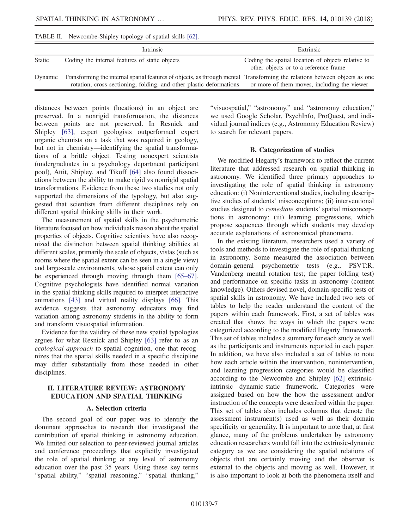<span id="page-8-0"></span>TABLE II. Newcombe-Shipley topology of spatial skills [\[62\].](#page-26-26)

|               | Intrinsic                                                                                                                                                                                         | Extrinsic                                                                                   |
|---------------|---------------------------------------------------------------------------------------------------------------------------------------------------------------------------------------------------|---------------------------------------------------------------------------------------------|
| <b>Static</b> | Coding the internal features of static objects                                                                                                                                                    | Coding the spatial location of objects relative to<br>other objects or to a reference frame |
| Dynamic       | Transforming the internal spatial features of objects, as through mental Transforming the relations between objects as one<br>rotation, cross sectioning, folding, and other plastic deformations | or more of them moves, including the viewer                                                 |

distances between points (locations) in an object are preserved. In a nonrigid transformation, the distances between points are not preserved. In Resnick and Shipley [\[63\],](#page-26-27) expert geologists outperformed expert organic chemists on a task that was required in geology, but not in chemistry—identifying the spatial transformations of a brittle object. Testing nonexpert scientists (undergraduates in a psychology department participant pool), Attit, Shipley, and Tikoff [\[64\]](#page-27-0) also found dissociations between the ability to make rigid vs nonrigid spatial transformations. Evidence from these two studies not only supported the dimensions of the typology, but also suggested that scientists from different disciplines rely on different spatial thinking skills in their work.

The measurement of spatial skills in the psychometric literature focused on how individuals reason about the spatial properties of objects. Cognitive scientists have also recognized the distinction between spatial thinking abilities at different scales, primarily the scale of objects, vistas (such as rooms where the spatial extent can be seen in a single view) and large-scale environments, whose spatial extent can only be experienced through moving through them [\[65](#page-27-1)–67]. Cognitive psychologists have identified normal variation in the spatial thinking skills required to interpret interactive animations [\[43\]](#page-26-9) and virtual reality displays [\[66\].](#page-27-2) This evidence suggests that astronomy educators may find variation among astronomy students in the ability to form and transform visuospatial information.

Evidence for the validity of these new spatial typologies argues for what Resnick and Shipley [\[63\]](#page-26-27) refer to as an ecological approach to spatial cognition, one that recognizes that the spatial skills needed in a specific discipline may differ substantially from those needed in other disciplines.

#### II. LITERATURE REVIEW: ASTRONOMY EDUCATION AND SPATIAL THINKING

#### A. Selection criteria

The second goal of our paper was to identify the dominant approaches to research that investigated the contribution of spatial thinking in astronomy education. We limited our selection to peer-reviewed journal articles and conference proceedings that explicitly investigated the role of spatial thinking at any level of astronomy education over the past 35 years. Using these key terms "spatial ability," "spatial reasoning," "spatial thinking," "visuospatial," "astronomy," and "astronomy education," we used Google Scholar, PsychInfo, ProQuest, and individual journal indices (e.g., Astronomy Education Review) to search for relevant papers.

#### B. Categorization of studies

We modified Hegarty's framework to reflect the current literature that addressed research on spatial thinking in astronomy. We identified three primary approaches to investigating the role of spatial thinking in astronomy education: (i) Noninterventional studies, including descriptive studies of students' misconceptions; (ii) interventional studies designed to remediate students' spatial misconceptions in astronomy; (iii) learning progressions, which propose sequences through which students may develop accurate explanations of astronomical phenomena.

In the existing literature, researchers used a variety of tools and methods to investigate the role of spatial thinking in astronomy. Some measured the association between domain-general psychometric tests (e.g., PSVT:R, Vandenberg mental rotation test; the paper folding test) and performance on specific tasks in astronomy (content knowledge). Others devised novel, domain-specific tests of spatial skills in astronomy. We have included two sets of tables to help the reader understand the content of the papers within each framework. First, a set of tables was created that shows the ways in which the papers were categorized according to the modified Hegarty framework. This set of tables includes a summary for each study as well as the participants and instruments reported in each paper. In addition, we have also included a set of tables to note how each article within the intervention, nonintervention, and learning progression categories would be classified according to the Newcombe and Shipley [\[62\]](#page-26-26) extrinsicintrinsic dynamic-static framework. Categories were assigned based on how the how the assessment and/or instruction of the concepts were described within the paper. This set of tables also includes columns that denote the assessment instrument(s) used as well as their domain specificity or generality. It is important to note that, at first glance, many of the problems undertaken by astronomy education researchers would fall into the extrinsic-dynamic category as we are considering the spatial relations of objects that are certainly moving and the observer is external to the objects and moving as well. However, it is also important to look at both the phenomena itself and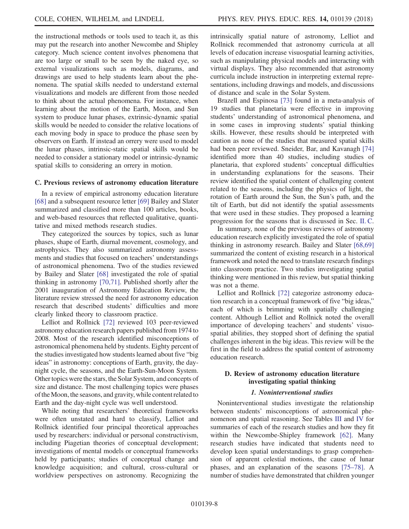the instructional methods or tools used to teach it, as this may put the research into another Newcombe and Shipley category. Much science content involves phenomena that are too large or small to be seen by the naked eye, so external visualizations such as models, diagrams, and drawings are used to help students learn about the phenomena. The spatial skills needed to understand external visualizations and models are different from those needed to think about the actual phenomena. For instance, when learning about the motion of the Earth, Moon, and Sun system to produce lunar phases, extrinsic-dynamic spatial skills would be needed to consider the relative locations of each moving body in space to produce the phase seen by observers on Earth. If instead an orrery were used to model the lunar phases, intrinsic-static spatial skills would be needed to consider a stationary model or intrinsic-dynamic spatial skills to considering an orrery in motion.

#### <span id="page-9-0"></span>C. Previous reviews of astronomy education literature

In a review of empirical astronomy education literature [\[68\]](#page-27-3) and a subsequent resource letter [\[69\]](#page-27-4) Bailey and Slater summarized and classified more than 100 articles, books, and web-based resources that reflected qualitative, quantitative and mixed methods research studies.

They categorized the sources by topics, such as lunar phases, shape of Earth, diurnal movement, cosmology, and astrophysics. They also summarized astronomy assessments and studies that focused on teachers' understandings of astronomical phenomena. Two of the studies reviewed by Bailey and Slater [\[68\]](#page-27-3) investigated the role of spatial thinking in astronomy [\[70,71\]](#page-27-5). Published shortly after the 2001 inauguration of Astronomy Education Review, the literature review stressed the need for astronomy education research that described students' difficulties and more clearly linked theory to classroom practice.

Lelliot and Rollnick [\[72\]](#page-27-6) reviewed 103 peer-reviewed astronomy education research papers published from 1974 to 2008. Most of the research identified misconceptions of astronomical phenomena held by students. Eighty percent of the studies investigated how students learned about five "big ideas" in astronomy: conceptions of Earth, gravity, the daynight cycle, the seasons, and the Earth-Sun-Moon System. Other topics were the stars, the Solar System, and concepts of size and distance. The most challenging topics were phases of theMoon, the seasons, and gravity, while content related to Earth and the day-night cycle was well understood.

While noting that researchers' theoretical frameworks were often unstated and hard to classify, Lelliot and Rollnick identified four principal theoretical approaches used by researchers: individual or personal constructivism, including Piagetian theories of conceptual development; investigations of mental models or conceptual frameworks held by participants; studies of conceptual change and knowledge acquisition; and cultural, cross-cultural or worldview perspectives on astronomy. Recognizing the intrinsically spatial nature of astronomy, Lelliot and Rollnick recommended that astronomy curricula at all levels of education increase visuospatial learning activities, such as manipulating physical models and interacting with virtual displays. They also recommended that astronomy curricula include instruction in interpreting external representations, including drawings and models, and discussions of distance and scale in the Solar System.

Brazell and Espinosa [\[73\]](#page-27-7) found in a meta-analysis of 19 studies that planetaria were effective in improving students' understanding of astronomical phenomena, and in some cases in improving students' spatial thinking skills. However, these results should be interpreted with caution as none of the studies that measured spatial skills had been peer reviewed. Sneider, Bar, and Kavanagh [\[74\]](#page-27-8) identified more than 40 studies, including studies of planetaria, that explored students' conceptual difficulties in understanding explanations for the seasons. Their review identified the spatial content of challenging content related to the seasons, including the physics of light, the rotation of Earth around the Sun, the Sun's path, and the tilt of Earth, but did not identify the spatial assessments that were used in these studies. They proposed a learning progression for the seasons that is discussed in Sec. [II. C](#page-9-0).

In summary, none of the previous reviews of astronomy education research explicitly investigated the role of spatial thinking in astronomy research. Bailey and Slater [\[68,69\]](#page-27-3) summarized the content of existing research in a historical framework and noted the need to translate research findings into classroom practice. Two studies investigating spatial thinking were mentioned in this review, but spatial thinking was not a theme.

Lelliot and Rollnick [\[72\]](#page-27-6) categorize astronomy education research in a conceptual framework of five "big ideas," each of which is brimming with spatially challenging content. Although Lelliot and Rollnick noted the overall importance of developing teachers' and students' visuospatial abilities, they stopped short of defining the spatial challenges inherent in the big ideas. This review will be the first in the field to address the spatial content of astronomy education research.

#### D. Review of astronomy education literature investigating spatial thinking

#### 1. Noninterventional studies

Noninterventional studies investigate the relationship between students' misconceptions of astronomical phenomenon and spatial reasoning. See Tables [III](#page-10-0) and [IV](#page-13-0) for summaries of each of the research studies and how they fit within the Newcombe-Shipley framework [\[62\]](#page-26-26). Many research studies have indicated that students need to develop keen spatial understandings to grasp comprehension of apparent celestial motions, the cause of lunar phases, and an explanation of the seasons [\[75](#page-27-9)–78]. A number of studies have demonstrated that children younger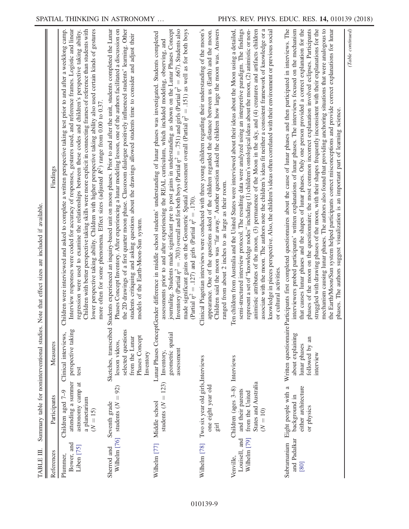<span id="page-10-0"></span>

| TABLE III.                                 |                                                                                                                                          | Summary table for noninterventional studies.                                               | available.<br>$\ddot{\mathrm{H}}$<br>Note that effect sizes are included                                                                                                                                                                                                                                                                                                                                                                                                                                                                                                                                                                                                                                                                                                                                                                                                                                                           |  |
|--------------------------------------------|------------------------------------------------------------------------------------------------------------------------------------------|--------------------------------------------------------------------------------------------|------------------------------------------------------------------------------------------------------------------------------------------------------------------------------------------------------------------------------------------------------------------------------------------------------------------------------------------------------------------------------------------------------------------------------------------------------------------------------------------------------------------------------------------------------------------------------------------------------------------------------------------------------------------------------------------------------------------------------------------------------------------------------------------------------------------------------------------------------------------------------------------------------------------------------------|--|
| References                                 | Participants                                                                                                                             | Measures                                                                                   | Findings                                                                                                                                                                                                                                                                                                                                                                                                                                                                                                                                                                                                                                                                                                                                                                                                                                                                                                                           |  |
| Bower, and<br>Liben [75]<br>Plummer,       | attending a summer<br>astronomy camp at<br>Children aged 7-9<br>a planetarium<br>$(N = 15)$                                              | perspective taking<br>Clinical interviews,<br>test                                         | Interview responses were coded for accuracy of responses, gestures used, and reference frames. Logistic and linear<br>Children with better perspective taking skills were more explicit in connecting frames of reference than students with<br>lower perspective taking ability. Children with higher perspective taking ability also used certain kinds of gestures<br>Children were interviewed and asked to complete a written perspective taking test prior to and after a weeklong camp.<br>regression were used to examine the relationships between these codes and children's perspective taking ability.<br>more often for some phenomena. Effect sizes (adjusted $R^2$ ) range from 0.00 to 0.37                                                                                                                                                                                                                        |  |
| Wilhelm [76]<br>Sherrod and                | students ( $N = 92$ )<br>Seventh grade                                                                                                   | selected questions<br>Phases Concept<br>from the Lunar<br>lesson videos,<br>Inventory      | the 2D drawings of a first quarter moon phase. Classroom dialogue positively influenced students' learning. Other<br>Sketches, transcribed Students experienced an inquiry-based unit on moon phases. Prior to and after the unit, students completed the Lunar<br>Phases Concept Inventory. After experiencing a lunar modeling lesson, one of the authors facilitated a discussion on<br>students critiquing and asking questions about the drawings allowed students time to consider and adjust their<br>models of the Earth-Moon-Sun system.                                                                                                                                                                                                                                                                                                                                                                                  |  |
| Wilhelm [77]                               | $= 123$<br>students $(N$<br>Middle school                                                                                                | geometric spatial<br>assessment<br>Inventory,                                              | journaling. Students made significant pre to post gains in understanding as shown on the Lunar Phases Concept<br>Inventory (Partial $\eta^2 = .703$ ) overall and for both boys (Partial $\eta^2 = .751$ ) and girls (Partial $\eta^2 = .667$ )<br>made significant gains on the Geometric Spatial Assessment overall (Partial $n^2 = .151$ ) as well as for both boys<br>Lunar Phases ConceptGender difference in middle school students' understanding of lunar phases was investigated. Students completed<br>assessments prior to and after experiencing the REAL curriculum, which included modeling, observing, and<br>(Partial $\eta^2 = .127$ ) and girls (Partial $\eta^2 = .170$ ).                                                                                                                                                                                                                                      |  |
| Wilhelm [78]                               | Two six year old girls, Interviews<br>one eight year old<br>$\operatorname*{girl}% \nolimits_{\mathbb{Z}}\nolimits^{2m}(\mathbb{Z}_{+})$ |                                                                                            | Clinical Piagetian interviews were conducted with three young children regarding their understanding of the moon's<br>Children said the moon was "far away." Another question asked the children how large the moon was. Answers<br>appearance. One of the questions asked of the children regarded the distance between us (Earth) and the moon.<br>ranged from about 2 inches to as large as their room.                                                                                                                                                                                                                                                                                                                                                                                                                                                                                                                         |  |
| Wilhelm [79]<br>Louisell, and<br>Venville, | States and Australia<br>Children (ages 3-8)<br>and their parents<br>from the United<br>$(N = 10)$                                        | Interviews                                                                                 | represent a set of "knowledge nodes" including (1) children's ontological ideas about the moon, (2) animistic or non-<br>associate with the moon. The authors note the children's ideas fit neither a consistent framework of knowledge or a<br>semi-structured interview protocol. The resulting data were analyzed using an interpretive paradigm. The findings<br>animistic attributes of the moon, (3) permanence of the Moon in the sky, and (4) creatures and artifacts children<br>knowledge in pieces perspective. Also, the children's ideas often correlated with their environment or previous social<br>en children from Australia and the United States were interviewed about their ideas about the Moon using a detailed,<br>or cultural activities.                                                                                                                                                                |  |
| and Padalkar<br>Subramaniam<br>[80]        | either architecture<br>Eight people with a<br>background in<br>or physics                                                                | Written questionnaire F<br>about explaining<br>followed by an<br>lunar phases<br>interview | articipants first completed questionnaires about the cause of lunar phases and then participated in interviews. The<br>that causes lunar phases and the shapes of lunar phases. Only one person provided a correct explanation for the<br>phases of the moon on the questionnaire; the most common incorrect explanation involved eclipses. Participants<br>struggled with drawing phases of the moon, with their shapes frequently inconsistent with their explanations for the<br>the Earth/Moon/Sun system helped participants correct misconceptions and provide correct explanations for lunar<br>interviewers probed participants' written explanations of lunar phases. The interviews focused on the mechanism<br>mechanism causing lunar phases. The authors also found that providing anchoring situations that were analogous to<br>phases. The authors suggest visualization is an important part of learning science. |  |
|                                            |                                                                                                                                          |                                                                                            | (Table continued)                                                                                                                                                                                                                                                                                                                                                                                                                                                                                                                                                                                                                                                                                                                                                                                                                                                                                                                  |  |

 $\overline{a}$ . E  $\ddot{\phantom{a}}$  $\cdot$ ਖੰ  $\ddot{\phantom{a}}$  $\ddot{\phantom{0}}$ ુ  $\frac{1}{2}$ ó Ĕ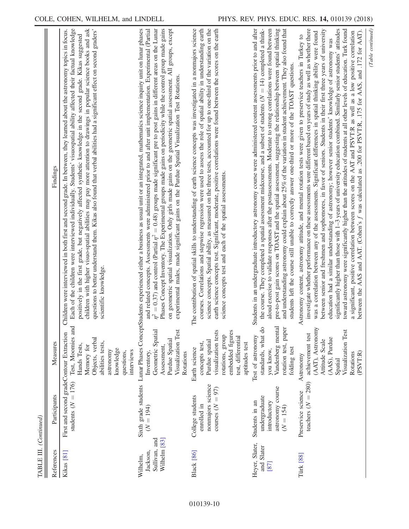| TABLE III. (Continued)                                |                                                                                    |                                                                                                                                                          |                                                                                                                                                                                                                                                                                                                                                                                                                                                                                                                                                                                                                                                                                                                                                                                                                                                                                                                                                                                                                                                                                |
|-------------------------------------------------------|------------------------------------------------------------------------------------|----------------------------------------------------------------------------------------------------------------------------------------------------------|--------------------------------------------------------------------------------------------------------------------------------------------------------------------------------------------------------------------------------------------------------------------------------------------------------------------------------------------------------------------------------------------------------------------------------------------------------------------------------------------------------------------------------------------------------------------------------------------------------------------------------------------------------------------------------------------------------------------------------------------------------------------------------------------------------------------------------------------------------------------------------------------------------------------------------------------------------------------------------------------------------------------------------------------------------------------------------|
| References                                            | Participants                                                                       | Measures                                                                                                                                                 | Findings                                                                                                                                                                                                                                                                                                                                                                                                                                                                                                                                                                                                                                                                                                                                                                                                                                                                                                                                                                                                                                                                       |
| Kikas [81]                                            | First and second gradeContour Extraction<br>students ( $N = 176$ )                 | Test, Moomies and<br>Objects, verbal<br>abilities tests,<br>Hands Tests,<br>Memory for<br>knowledge<br>astronomy<br>interviews<br>questions,             | Each of the children were interviewed individually. Students' visuospatial ability affected their factual knowledge<br>questions to better understand them. Kikas also found that verbal abilities had a significant effect on second graders'<br>Children were interviewed in both first and second grade. In between, they learned about the astronomy topics in focus.<br>children with higher visuo-spatial abilities may pay more attention to drawings in popular science books and ask<br>positively in the first grade, but negatively affected synthetic knowledge in the second grade. Kikas suggested<br>scientific knowledge.                                                                                                                                                                                                                                                                                                                                                                                                                                      |
| Wilhelm [83]<br>Sullivan, and<br>Jackson,<br>Wilhelm, | Sixth grade students<br>$(N = 194)$                                                | Visualization Test<br>Geometric Spatial<br>Purdue Spatial<br>Assessment,<br>Rotations<br>Inventory.                                                      | Lunar Phases ConceptStudents experienced either a business as usual unit or an integrated, mathematics science inquiry unit on lunar phases<br>$\eta^2 = 0.37$ ) and control (Partial $\eta^2 = 0.48$ ) groups made significant pre to post gains in different areas on the Lunar<br>Phases Concept Inventory. The Experimental groups made gains on periodicity while the control group made gains<br>on geometric spatial visualization. Only girls made gains on the geometric spatial assessment. All groups, except<br>and related concepts. Assessments were administered prior to and after unit implementation. Experimental (Partial<br>experimental males, made significant gains on the Purdue Spatial Visualization Test Rotations.                                                                                                                                                                                                                                                                                                                                |
| <b>Black</b> [86]                                     | nonmajors science<br>courses $(N = 97)$<br>College students<br>enrolled in         | visualization tests<br>embedded figures<br>rotations, group<br>test, differential<br>Purdue spatial<br>concepts test,<br>aptitudes test<br>Earth science | The contribution of spatial skills to understanding of earth science concepts was investigated in a nonmajors science<br>courses. Correlations and stepwise regression were used to assess the role of spatial ability in understanding earth<br>science concepts. Spatial ability, as measured on the three tests, accounted for up to one-third of the variation on the<br>earth science concepts test. Significant, moderate, positive correlations were found between the scores on the earth<br>science concepts test and each of the spatial assessments.                                                                                                                                                                                                                                                                                                                                                                                                                                                                                                                |
| Heyer, Slater,<br>and Slater<br>[87]                  | astronomy course<br>undergraduate<br>Students in an<br>introductory<br>$(N = 154)$ | Vandenberg mental<br>standards, what do<br>rotation test, paper<br>Test of astronomy<br>folding test<br>you know,                                        | Students in an undergraduate introductory astronomy course were administered content assessments prior to and after<br>the course. They completed a spatial assessment midcourse, and a subset of students $(N = 14)$ completed a think-<br>aloud exercise to validate responses after the postassessments. Moderate to strong correlations were found between<br>pre-to-post gain scores on TOAST and the spatial assessment, suggesting the relationship between spatial thinking<br>and understanding astronomy could explain about 25% of the variation in student achievement. They also found that<br>students left the course still unable to correctly answer one-third or more of the TOAST questions.                                                                                                                                                                                                                                                                                                                                                                |
| Türk [88]                                             | teachers $(N = 280)$<br>Preservice science                                         | (AAT), Astronomy<br>Visualization Test<br>achievement test<br>(AAS), Purdue<br>Attitude Scale<br>Rotations<br>(PSVT:R)<br>Astronomy<br>Spatial           | investigate whether performance on these assessments were different based on years of study as well as whether there<br>significantly higher than those with 1–3 years of university education combined. Similarly senior students' attitudes<br>between senior and freshmen and sophomores, in favor of seniors. Students in their first three years of university<br>toward astronomy were significantly higher than the attitudes of students at all other levels of education. Turk found<br>between the AAS and AAT. (Cohen's $f$ was calculated as .200 for PSVT:R, .175 for AAS, and .172 for AAT).<br>a significant, positive correlation between scores on the AAT and PSVT:R as well as a low positive correlation<br>was a correlation between any of the assessments. Significant differences in spatial thinking ability were found<br>Astronomy content, astronomy attitude, and mental rotation tests were given to preservice teachers in Turkey to<br>education had a similar understanding of astronomy; however senior students' knowledge of astronomy was |
|                                                       |                                                                                    |                                                                                                                                                          | Suminual                                                                                                                                                                                                                                                                                                                                                                                                                                                                                                                                                                                                                                                                                                                                                                                                                                                                                                                                                                                                                                                                       |

(Table continued) (Table continued)

010139-10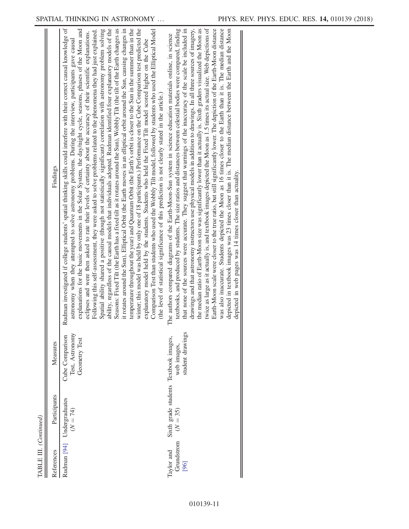| References                       | Participants                                        | Measures                                            | Findings                                                                                                                                                                                                                                                                                                                                                                                                                                                                                                                                                                                                                                                                                                                                                                                                                                                                                                                                                                                                                                                                                                                                                                                                                                                                                                                                                                                                                                                                                                                                                                                                                                                                                        |
|----------------------------------|-----------------------------------------------------|-----------------------------------------------------|-------------------------------------------------------------------------------------------------------------------------------------------------------------------------------------------------------------------------------------------------------------------------------------------------------------------------------------------------------------------------------------------------------------------------------------------------------------------------------------------------------------------------------------------------------------------------------------------------------------------------------------------------------------------------------------------------------------------------------------------------------------------------------------------------------------------------------------------------------------------------------------------------------------------------------------------------------------------------------------------------------------------------------------------------------------------------------------------------------------------------------------------------------------------------------------------------------------------------------------------------------------------------------------------------------------------------------------------------------------------------------------------------------------------------------------------------------------------------------------------------------------------------------------------------------------------------------------------------------------------------------------------------------------------------------------------------|
|                                  | Rudman [94] Undergraduates<br>$(N = 74)$            | Test, Astronomy<br>Cube Comparison<br>Geometry Test | Rudman investigated if college students' spatial thinking skills could interfere with their correct causal knowledge of<br>ability, regardless of the causal models that individuals adopted. Rudman identified four explanatory models of the<br>temperature throughout the year) and Quantum Orbit (the Earth's orbit is closer to the Sun in the summer than in the<br>winter; this model was held by only one of 18 participants.) Performance on the Cube Comparison test predicted the<br>Spatial ability shared a positive (though not statistically significant) correlation with astronomy problem solving<br>Seasons: Fixed Tilt (the Earth has a fixed tilt as it rotates around the Sun), Wobbly Tilt (the tilt of the Earth changes as<br>explanations for the basic movements in the Solar System, the day/night cycle, seasons, phases of the Moon and<br>it rotates around the Sun), Elliptical Orbit (the Earth moves in an elliptical orbit around the Sun, causing changes in<br>Comparison Test than students who used the Wobbly Tilt model, followed by students who used the Elliptical Model<br>Following this self-assessment, they were asked to solve problems related to the phenomena they had just explained.<br>eclipses and were then asked to rate their levels of certainty about the accuracy of their scientific explanations.<br>astronomy when they attempted to solve astronomy problems. During the interview, participants gave causal<br>explanatory model held by the students. Students who held the Fixed Tilt model scored higher on the Cube<br>(the level of statistical significance of this prediction is not clearly stated in the article.) |
| Taylor and<br>Grundstrom<br>[96] | Sixth grade students Textbook images,<br>$(N = 35)$ | student drawings<br>web images,                     | twice as large as it actually is, and textbook images depicted the Moon as 1.5 times its actual size. Web depictions of<br>Earth-Moon scale were closer to the true ratio, but still significantly lower. The depiction of the Earth-Moon distance<br>drawings and that astronomy instructors use physical models in addition to drawings. In all three sources of imagery,<br>the median ratio of Earth-Moon size was significantly lower than it actually is. Sixth graders visualized the Moon as<br>textbooks, and produced by students. The size ratios and distances between celestial bodies were compared, finding<br>was also inaccurate. Students depicted the Moon as 16 times closer to the Earth than it is. The median distance<br>that none of the sources were accurate. They suggest that warnings of the inaccuracy of the scale be included in<br>depicted in textbook images was 23 times closer than it is. The median distance between the Earth and the Moon<br>The authors compared diagrams of the Earth-Moon-Sun system in science education materials online, in science<br>depicted in web pages was 14 times closer than actuality.                                                                                                                                                                                                                                                                                                                                                                                                                                                                                                                                |

 $\underline{\mbox{TABLE II.}~(Continued)}$ TABLE III. (Continued)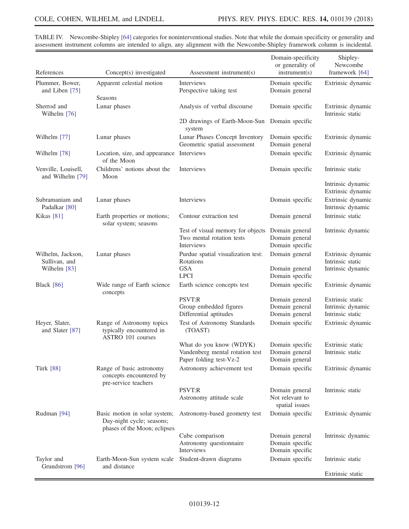| References                                  | Concept(s) investigated                                                                    | Assessment instrument(s)                                                              | Domain-specificity<br>or generality of<br>instrument(s) | Shipley-<br>Newcombe<br>framework [64]                    |
|---------------------------------------------|--------------------------------------------------------------------------------------------|---------------------------------------------------------------------------------------|---------------------------------------------------------|-----------------------------------------------------------|
| Plummer, Bower,<br>and Liben [75]           | Apparent celestial motion                                                                  | <b>Interviews</b><br>Perspective taking test                                          | Domain specific<br>Domain general                       | Extrinsic dynamic                                         |
| Sherrod and<br>Wilhelm [76]                 | Seasons<br>Lunar phases                                                                    | Analysis of verbal discourse                                                          | Domain specific                                         | Extrinsic dynamic<br>Intrinsic static                     |
|                                             |                                                                                            | 2D drawings of Earth-Moon-Sun<br>system                                               | Domain specific                                         |                                                           |
| Wilhelm [77]                                | Lunar phases                                                                               | Lunar Phases Concept Inventory<br>Geometric spatial assessment                        | Domain specific<br>Domain general                       | Extrinsic dynamic                                         |
| Wilhelm [78]                                | Location, size, and appearance Interviews<br>of the Moon                                   |                                                                                       | Domain specific                                         | Extrinsic dynamic                                         |
| Venville, Louisell,<br>and Wilhelm [79]     | Childrens' notions about the<br>Moon                                                       | Interviews                                                                            | Domain specific                                         | Intrinsic static                                          |
|                                             |                                                                                            |                                                                                       |                                                         | Intrinsic dynamic<br>Extrinsic dynamic                    |
| Subramaniam and<br>Padalkar <sup>[80]</sup> | Lunar phases                                                                               | Interviews                                                                            | Domain specific                                         | Extrinsic dynamic<br>Intrinsic dynamic                    |
| Kikas <sup>[81]</sup>                       | Earth properties or motions;<br>solar system; seasons                                      | Contour extraction test                                                               | Domain general                                          | Intrinsic static                                          |
|                                             |                                                                                            | Test of visual memory for objects<br>Two mental rotation tests<br><b>Interviews</b>   | Domain general<br>Domain general<br>Domain specific     | Intrinsic dynamic                                         |
| Wilhelm, Jackson,<br>Sullivan, and          | Lunar phases                                                                               | Purdue spatial visualization test:<br>Rotations                                       | Domain general                                          | Extrinsic dynamic<br>Intrinsic static                     |
| Wilhelm [83]                                |                                                                                            | <b>GSA</b><br><b>LPCI</b>                                                             | Domain general<br>Domain specific                       | Intrinsic dynamic                                         |
| <b>Black</b> [86]                           | Wide range of Earth science<br>concepts                                                    | Earth science concepts test                                                           | Domain specific                                         | Extrinsic dynamic                                         |
|                                             |                                                                                            | <b>PSVT:R</b><br>Group embedded figures                                               | Domain general<br>Domain general                        | Extrinsic static<br>Intrinsic dynamic<br>Intrinsic static |
| Heyer, Slater,<br>and Slater [87]           | Range of Astronomy topics<br>typically encountered in<br>ASTRO 101 courses                 | Differential aptitudes<br>Test of Astronomy Standards<br>(TOAST)                      | Domain general<br>Domain specific                       | Extrinsic dynamic                                         |
|                                             |                                                                                            | What do you know (WDYK)<br>Vandenberg mental rotation test<br>Paper folding test-Vz-2 | Domain specific<br>Domain general<br>Domain general     | Extrinsic static<br>Intrinsic static                      |
| <b>Türk</b> [88]                            | Range of basic astronomy<br>concepts encountered by<br>pre-service teachers                | Astronomy achievement test                                                            | Domain specific                                         | Extrinsic dynamic                                         |
|                                             |                                                                                            | <b>PSVT:R</b><br>Astronomy attitude scale                                             | Domain general<br>Not relevant to<br>spatial issues     | Intrinsic static                                          |
| Rudman [94]                                 | Basic motion in solar system;<br>Day-night cycle; seasons;<br>phases of the Moon; eclipses | Astronomy-based geometry test                                                         | Domain specific                                         | Extrinsic dynamic                                         |
|                                             |                                                                                            | Cube comparison<br>Astronomy questionnaire<br>Interviews                              | Domain general<br>Domain specific<br>Domain specific    | Intrinsic dynamic                                         |
| Taylor and<br>Grundstrom [96]               | Earth-Moon-Sun system scale<br>and distance                                                | Student-drawn diagrams                                                                | Domain specific                                         | Intrinsic static                                          |
|                                             |                                                                                            |                                                                                       |                                                         | Extrinsic static                                          |

<span id="page-13-0"></span>TABLE IV. Newcombe-Shipley [\[64\]](#page-27-0) categories for noninterventional studies. Note that while the domain specificity or generality and assessment instrument columns are intended to align, any alignment with the Newcombe-Shipley framework column is incidental.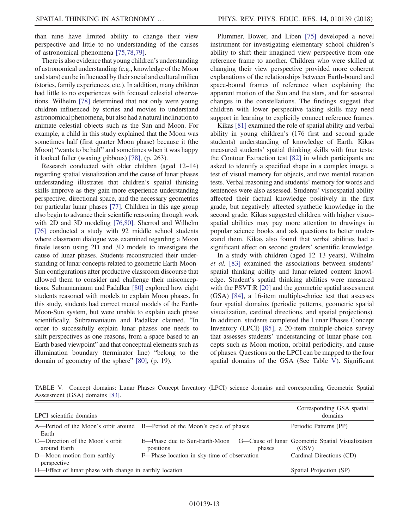than nine have limited ability to change their view perspective and little to no understanding of the causes of astronomical phenomena [\[75,78,79\].](#page-27-9)

There is also evidence that young children's understanding of astronomical understanding (e.g., knowledge of the Moon and stars) can be influenced by their social and cultural milieu (stories, family experiences, etc.). In addition, many children had little to no experiences with focused celestial observations. Wilhelm [\[78\]](#page-27-12) determined that not only were young children influenced by stories and movies to understand astronomical phenomena, but also had a natural inclination to animate celestial objects such as the Sun and Moon. For example, a child in this study explained that the Moon was sometimes half (first quarter Moon phase) because it (the Moon) "wants to be half" and sometimes when it was happy it looked fuller (waxing gibbous) [\[78\]](#page-27-12), (p. 263).

Research conducted with older children (aged 12–14) regarding spatial visualization and the cause of lunar phases understanding illustrates that children's spatial thinking skills improve as they gain more experience understanding perspective, directional space, and the necessary geometries for particular lunar phases [\[77\]](#page-27-11). Children in this age group also begin to advance their scientific reasoning through work with 2D and 3D modeling [\[76,80\].](#page-27-10) Sherrod and Wilhelm [\[76\]](#page-27-10) conducted a study with 92 middle school students where classroom dialogue was examined regarding a Moon finale lesson using 2D and 3D models to investigate the cause of lunar phases. Students reconstructed their understanding of lunar concepts related to geometric Earth-Moon-Sun configurations after productive classroom discourse that allowed them to consider and challenge their misconceptions. Subramaniaum and Padalkar [\[80\]](#page-27-14) explored how eight students reasoned with models to explain Moon phases. In this study, students had correct mental models of the Earth-Moon-Sun system, but were unable to explain each phase scientifically. Subramaniaum and Padalkar claimed, "In order to successfully explain lunar phases one needs to shift perspectives as one reasons, from a space based to an Earth based viewpoint" and that conceptual elements such as illumination boundary (terminator line) "belong to the domain of geometry of the sphere" [\[80\],](#page-27-14) (p. 19).

Plummer, Bower, and Liben [\[75\]](#page-27-9) developed a novel instrument for investigating elementary school children's ability to shift their imagined view perspective from one reference frame to another. Children who were skilled at changing their view perspective provided more coherent explanations of the relationships between Earth-bound and space-bound frames of reference when explaining the apparent motion of the Sun and the stars, and for seasonal changes in the constellations. The findings suggest that children with lower perspective taking skills may need support in learning to explicitly connect reference frames.

Kikas [\[81\]](#page-27-15) examined the role of spatial ability and verbal ability in young children's (176 first and second grade students) understanding of knowledge of Earth. Kikas measured students' spatial thinking skills with four tests: the Contour Extraction test [\[82\]](#page-27-22) in which participants are asked to identify a specified shape in a complex image, a test of visual memory for objects, and two mental rotation tests. Verbal reasoning and students' memory for words and sentences were also assessed. Students' visuospatial ability affected their factual knowledge positively in the first grade, but negatively affected synthetic knowledge in the second grade. Kikas suggested children with higher visuospatial abilities may pay more attention to drawings in popular science books and ask questions to better understand them. Kikas also found that verbal abilities had a significant effect on second graders' scientific knowledge.

In a study with children (aged 12–13 years), Wilhelm et al. [\[83\]](#page-27-16) examined the associations between students' spatial thinking ability and lunar-related content knowledge. Student's spatial thinking abilities were measured with the PSVT:R [\[20\]](#page-25-18) and the geometric spatial assessment (GSA) [\[84\]](#page-27-23), a 16-item multiple-choice test that assesses four spatial domains (periodic patterns, geometric spatial visualization, cardinal directions, and spatial projections). In addition, students completed the Lunar Phases Concept Inventory (LPCI) [\[85\]](#page-27-24), a 20-item multiple-choice survey that assesses students' understanding of lunar-phase concepts such as Moon motion, orbital periodicity, and cause of phases. Questions on the LPCI can be mapped to the four spatial domains of the GSA (See Table [V\)](#page-14-0). Significant

<span id="page-14-0"></span>TABLE V. Concept domains: Lunar Phases Concept Inventory (LPCI) science domains and corresponding Geometric Spatial Assessment (GSA) domains [\[83\]](#page-27-16).

| LPCI scientific domains                                                             |                                                                                             |        | Corresponding GSA spatial<br>domains |
|-------------------------------------------------------------------------------------|---------------------------------------------------------------------------------------------|--------|--------------------------------------|
| A—Period of the Moon's orbit around B—Period of the Moon's cycle of phases<br>Earth |                                                                                             |        | Periodic Patterns (PP)               |
| C—Direction of the Moon's orbit<br>around Earth                                     | E—Phase due to Sun-Earth-Moon G—Cause of lunar Geometric Spatial Visualization<br>positions | phases | (GSV)                                |
| D—Moon motion from earthly<br>perspective                                           | F—Phase location in sky-time of observation                                                 |        | Cardinal Directions (CD)             |
| H—Effect of lunar phase with change in earthly location                             |                                                                                             |        | Spatial Projection (SP)              |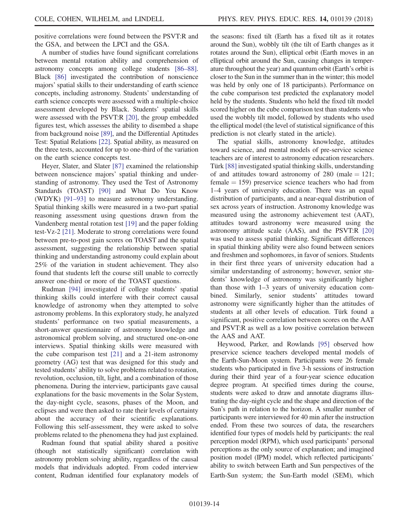positive correlations were found between the PSVT:R and the GSA, and between the LPCI and the GSA.

A number of studies have found significant correlations between mental rotation ability and comprehension of astronomy concepts among college students [\[86](#page-27-17)–88]. Black [\[86\]](#page-27-17) investigated the contribution of nonscience majors' spatial skills to their understanding of earth science concepts, including astronomy. Students' understanding of earth science concepts were assessed with a multiple-choice assessment developed by Black. Students' spatial skills were assessed with the PSVT:R [\[20\],](#page-25-18) the group embedded figures test, which assesses the ability to disembed a shape from background noise [\[89\]](#page-27-25), and the Differential Aptitudes Test: Spatial Relations [\[22\].](#page-25-20) Spatial ability, as measured on the three tests, accounted for up to one-third of the variation on the earth science concepts test.

Heyer, Slater, and Slater [\[87\]](#page-27-18) examined the relationship between nonscience majors' spatial thinking and understanding of astronomy. They used the Test of Astronomy Standards (TOAST) [\[90\]](#page-27-26) and What Do You Know (WDYK) [91–[93\]](#page-27-27) to measure astronomy understanding. Spatial thinking skills were measured in a two-part spatial reasoning assessment using questions drawn from the Vandenberg mental rotation test [\[19\]](#page-25-17) and the paper folding test-Vz-2 [\[21\]](#page-25-19). Moderate to strong correlations were found between pre-to-post gain scores on TOAST and the spatial assessment, suggesting the relationship between spatial thinking and understanding astronomy could explain about 25% of the variation in student achievement. They also found that students left the course still unable to correctly answer one-third or more of the TOAST questions.

Rudman [\[94\]](#page-27-20) investigated if college students' spatial thinking skills could interfere with their correct causal knowledge of astronomy when they attempted to solve astronomy problems. In this exploratory study, he analyzed students' performance on two spatial measurements, a short-answer questionnaire of astronomy knowledge and astronomical problem solving, and structured one-on-one interviews. Spatial thinking skills were measured with the cube comparison test [\[21\]](#page-25-19) and a 21-item astronomy geometry (AG) test that was designed for this study and tested students' ability to solve problems related to rotation, revolution, occlusion, tilt, light, and a combination of those phenomena. During the interview, participants gave causal explanations for the basic movements in the Solar System, the day-night cycle, seasons, phases of the Moon, and eclipses and were then asked to rate their levels of certainty about the accuracy of their scientific explanations. Following this self-assessment, they were asked to solve problems related to the phenomena they had just explained.

Rudman found that spatial ability shared a positive (though not statistically significant) correlation with astronomy problem solving ability, regardless of the causal models that individuals adopted. From coded interview content, Rudman identified four explanatory models of the seasons: fixed tilt (Earth has a fixed tilt as it rotates around the Sun), wobbly tilt (the tilt of Earth changes as it rotates around the Sun), elliptical orbit (Earth moves in an elliptical orbit around the Sun, causing changes in temperature throughout the year) and quantum orbit (Earth's orbit is closer to the Sun in the summer than in the winter; this model was held by only one of 18 participants). Performance on the cube comparison test predicted the explanatory model held by the students. Students who held the fixed tilt model scored higher on the cube comparison test than students who used the wobbly tilt model, followed by students who used the elliptical model (the level of statistical significance of this prediction is not clearly stated in the article).

The spatial skills, astronomy knowledge, attitudes toward science, and mental models of pre-service science teachers are of interest to astronomy education researchers. Türk [\[88\]](#page-27-19) investigated spatial thinking skills, understanding of and attitudes toward astronomy of 280 (male  $= 121$ ;  $f$ female  $= 159$ ) preservice science teachers who had from 1–4 years of university education. There was an equal distribution of participants, and a near-equal distribution of sex across years of instruction. Astronomy knowledge was measured using the astronomy achievement test (AAT), attitudes toward astronomy were measured using the astronomy attitude scale (AAS), and the PSVT:R [\[20\]](#page-25-18) was used to assess spatial thinking. Significant differences in spatial thinking ability were also found between seniors and freshmen and sophomores, in favor of seniors. Students in their first three years of university education had a similar understanding of astronomy; however, senior students' knowledge of astronomy was significantly higher than those with 1–3 years of university education combined. Similarly, senior students' attitudes toward astronomy were significantly higher than the attitudes of students at all other levels of education. Türk found a significant, positive correlation between scores on the AAT and PSVT:R as well as a low positive correlation between the AAS and AAT.

Heywood, Parker, and Rowlands [\[95\]](#page-27-28) observed how preservice science teachers developed mental models of the Earth-Sun-Moon system. Participants were 26 female students who participated in five 3-h sessions of instruction during their third year of a four-year science education degree program. At specified times during the course, students were asked to draw and annotate diagrams illustrating the day-night cycle and the shape and direction of the Sun's path in relation to the horizon. A smaller number of participants were interviewed for 40 min after the instruction ended. From these two sources of data, the researchers identified four types of models held by participants: the real perception model (RPM), which used participants' personal perceptions as the only source of explanation; and imagined position model (IPM) model, which reflected participants' ability to switch between Earth and Sun perspectives of the Earth-Sun system; the Sun-Earth model (SEM), which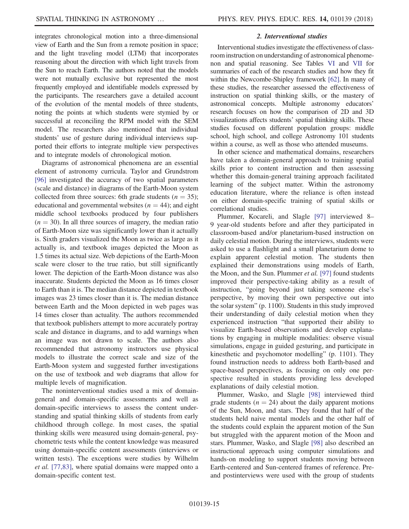integrates chronological motion into a three-dimensional view of Earth and the Sun from a remote position in space; and the light traveling model (LTM) that incorporates reasoning about the direction with which light travels from the Sun to reach Earth. The authors noted that the models were not mutually exclusive but represented the most frequently employed and identifiable models expressed by the participants. The researchers gave a detailed account of the evolution of the mental models of three students, noting the points at which students were stymied by or successful at reconciling the RPM model with the SEM model. The researchers also mentioned that individual students' use of gesture during individual interviews supported their efforts to integrate multiple view perspectives and to integrate models of chronological motion.

Diagrams of astronomical phenomena are an essential element of astronomy curricula. Taylor and Grundstrom [\[96\]](#page-27-21) investigated the accuracy of two spatial parameters (scale and distance) in diagrams of the Earth-Moon system collected from three sources: 6th grade students ( $n = 35$ ); educational and governmental websites ( $n = 44$ ); and eight middle school textbooks produced by four publishers  $(n = 30)$ . In all three sources of imagery, the median ratio of Earth-Moon size was significantly lower than it actually is. Sixth graders visualized the Moon as twice as large as it actually is, and textbook images depicted the Moon as 1.5 times its actual size. Web depictions of the Earth-Moon scale were closer to the true ratio, but still significantly lower. The depiction of the Earth-Moon distance was also inaccurate. Students depicted the Moon as 16 times closer to Earth than it is. The median distance depicted in textbook images was 23 times closer than it is. The median distance between Earth and the Moon depicted in web pages was 14 times closer than actuality. The authors recommended that textbook publishers attempt to more accurately portray scale and distance in diagrams, and to add warnings when an image was not drawn to scale. The authors also recommended that astronomy instructors use physical models to illustrate the correct scale and size of the Earth-Moon system and suggested further investigations on the use of textbook and web diagrams that allow for multiple levels of magnification.

The noninterventional studies used a mix of domaingeneral and domain-specific assessments and well as domain-specific interviews to assess the content understanding and spatial thinking skills of students from early childhood through college. In most cases, the spatial thinking skills were measured using domain-general, psychometric tests while the content knowledge was measured using domain-specific content assessments (interviews or written tests). The exceptions were studies by Wilhelm et al. [\[77,83\]](#page-27-11), where spatial domains were mapped onto a domain-specific content test.

#### 2. Interventional studies

Interventional studies investigate the effectiveness of classroom instruction on understanding of astronomical phenomenon and spatial reasoning. See Tables [VI](#page-17-0) and [VII](#page-20-0) for summaries of each of the research studies and how they fit within the Newcombe-Shipley framework [\[62\]](#page-26-26). In many of these studies, the researcher assessed the effectiveness of instruction on spatial thinking skills, or the mastery of astronomical concepts. Multiple astronomy educators' research focuses on how the comparison of 2D and 3D visualizations affects students' spatial thinking skills. These studies focused on different population groups: middle school, high school, and college Astronomy 101 students within a course, as well as those who attended museums.

In other science and mathematical domains, researchers have taken a domain-general approach to training spatial skills prior to content instruction and then assessing whether this domain-general training approach facilitated learning of the subject matter. Within the astronomy education literature, where the reliance is often instead on either domain-specific training of spatial skills or correlational studies.

Plummer, Kocareli, and Slagle [\[97\]](#page-27-29) interviewed 8– 9 year-old students before and after they participated in classroom-based and/or planetarium-based instruction on daily celestial motion. During the interviews, students were asked to use a flashlight and a small planetarium dome to explain apparent celestial motion. The students then explained their demonstrations using models of Earth, the Moon, and the Sun. Plummer et al. [\[97\]](#page-27-29) found students improved their perspective-taking ability as a result of instruction, "going beyond just taking someone else's perspective, by moving their own perspective out into the solar system" (p. 1100). Students in this study improved their understanding of daily celestial motion when they experienced instruction "that supported their ability to visualize Earth-based observations and develop explanations by engaging in multiple modalities: observe visual simulations, engage in guided gesturing, and participate in kinesthetic and psychomotor modelling" (p. 1101). They found instruction needs to address both Earth-based and space-based perspectives, as focusing on only one perspective resulted in students providing less developed explanations of daily celestial motion.

Plummer, Wasko, and Slagle [\[98\]](#page-27-30) interviewed third grade students ( $n = 24$ ) about the daily apparent motions of the Sun, Moon, and stars. They found that half of the students held naive mental models and the other half of the students could explain the apparent motion of the Sun but struggled with the apparent motion of the Moon and stars. Plummer, Wasko, and Slagle [\[98\]](#page-27-30) also described an instructional approach using computer simulations and hands-on modeling to support students moving between Earth-centered and Sun-centered frames of reference. Preand postinterviews were used with the group of students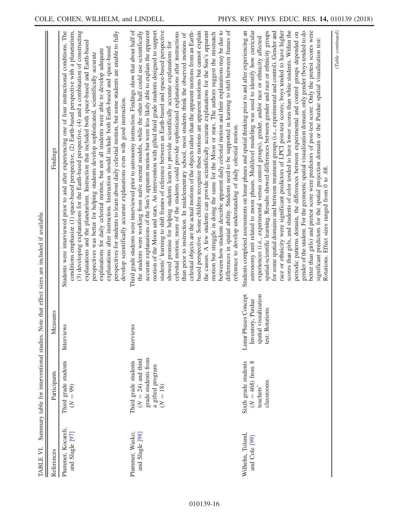<span id="page-17-0"></span>

| TABLE VI.                             |                                                                                                       |                                                                                       | Summary table for interventional studies. Note that effect sizes are included if available.                                                                                                                                                                                                                                                                                                                                                                                                                                                                                                                                                                                                                                                                                                                                                                                                                                                                                                                                                                                                                                                                                                                                                                                                                                                                                                                                                                                                                                                    |
|---------------------------------------|-------------------------------------------------------------------------------------------------------|---------------------------------------------------------------------------------------|------------------------------------------------------------------------------------------------------------------------------------------------------------------------------------------------------------------------------------------------------------------------------------------------------------------------------------------------------------------------------------------------------------------------------------------------------------------------------------------------------------------------------------------------------------------------------------------------------------------------------------------------------------------------------------------------------------------------------------------------------------------------------------------------------------------------------------------------------------------------------------------------------------------------------------------------------------------------------------------------------------------------------------------------------------------------------------------------------------------------------------------------------------------------------------------------------------------------------------------------------------------------------------------------------------------------------------------------------------------------------------------------------------------------------------------------------------------------------------------------------------------------------------------------|
| References                            | Participants                                                                                          | Measures                                                                              | Findings                                                                                                                                                                                                                                                                                                                                                                                                                                                                                                                                                                                                                                                                                                                                                                                                                                                                                                                                                                                                                                                                                                                                                                                                                                                                                                                                                                                                                                                                                                                                       |
| Plummer, Kocareli,<br>and Slagle [97] | Third grade students<br>$(N = 99)$                                                                    | Interviews                                                                            | conditions emphasize (1) space-based perspective, (2) Earth-based perspective with a planetarium,<br>(3) developing explanations for the Earth-based perspective, $(4)$ and a combination of constructing<br>perspectives for students to learn about daily celestial motion, but some students are unable to fully<br>Students were interviewed prior to and after experiencing one of four instructional conditions. The<br>explanations and the planetarium. Instruction that included both space-based and Earth-based<br>explanations after instruction. Instruction should include both Earth-based and space-based<br>explanations for daily celestial motion, but not all students were able to develop adequate<br>perspectives was better for helping students develop sophisticated, scientifically accurate<br>develop scientifically accurate explanations even with good instruction.                                                                                                                                                                                                                                                                                                                                                                                                                                                                                                                                                                                                                                            |
| Plummer, Wasko,<br>and Slagle [98]    | grade students from<br>$(N = 24)$ and third<br>Third grade students<br>a gifted program<br>$(N = 18)$ | Interviews                                                                            | Third grade students were interviewed prior to astronomy instruction. Findings show that about half of<br>differences in spatial ability. Students need to be supported in learning to shift between frames of<br>between how students describe apparent daily celestial motion and their explanations may be due to<br>motion of the Moon and stars. An intervention with gifted third grade students designed to support<br>students' learning to shift frames of reference between an Earth-based and space-based perspective<br>celestial objects are the actual motions of the objects rather than the apparent motions from an Earth-<br>based perspective. Some children recognize these motions are apparent motions but cannot explain<br>the causes. A few students can provide scientifically accurate explanations for the Sun's apparent<br>the students were working from naive mental models, while the other half could use scientifically<br>accurate explanations of the Sun's apparent motion but were less likely able to explain the apparent<br>celestial motion; more of the students could provide sophisticated explanations after instructions<br>motion but struggle in doing the same for the Moon or stars. The authors suggest the mismatch<br>than prior to instruction. In midelementary school, most students think the observed motions of<br>showed promise for helping students learn to provide scientifically accurate explanations for<br>reference to develop understanding of daily celestial motion. |
| Wilhelm, Toland,<br>and Cole [99]     | $(N=468)$ from $8$<br>Sixth grade students<br>classrooms<br>teachers'                                 | Lunar Phases Concept<br>spatial visualization<br>Inventory, Purdue<br>test: Rotations | astronomy unit related to moon phases. Multilevel modeling was used to identify how curricular<br>Students completed assessments on lunar phases and spatial thinking prior to and after experiencing an<br>scores than girls, and students of color tended to have lower scores than white students. Within the<br>spatial-scientific learning. Results showed differences between gender and race or ethnicity groups<br>for some spatial domains and between treatment groups (i.e., experimental and control). Gender and<br>race or ethnicity were significant predictors of LPCI post-test scores; boys tended to have higher<br>experiences (i.e., experimental versus control groups), gender, and/or race or ethnicity affected                                                                                                                                                                                                                                                                                                                                                                                                                                                                                                                                                                                                                                                                                                                                                                                                       |

periodic patterns domain, the differences between experimental and control groups depended on gender of the student. For the geometric spatial visualization domain, only gender (boys tended to do better than girls) and pretest score were predictors of post-test score. Only the pretest scores were significant predictors for the spatial projection domain or the Purdue spatial visualization test:

gender of the student. For the geometric spatial visualization domain, only gender (boys tended to do better than girls) and pretest score were predictors of post-test score. Only the pretest scores were periodic patterns domain, the differences between experimental and control groups depended on

significant predictors for the spatial projection domain or the Purdue spatial visualization test:<br>Rotations. Effect sizes ranged from 0 to .68.

Rotations. Effect sizes ranged from 0 to .68.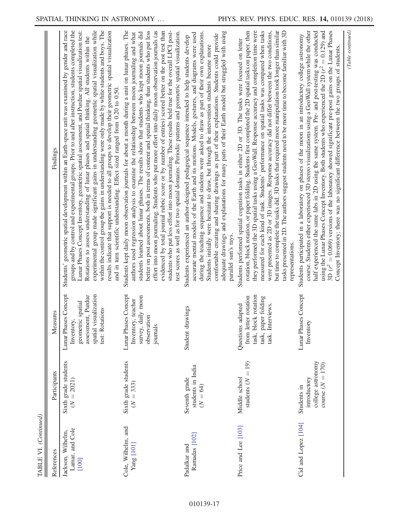| $_{\neg}$   |  |
|-------------|--|
|             |  |
| TABLE VI. ( |  |

| TABLE VI. (Continued)                           |                                                                        |                                                                                                                           |                                                                                                                                                                                                                                                                                                                                                                                                                                                                                                                                                                                                                                                                                                                                                                                                                                                 |
|-------------------------------------------------|------------------------------------------------------------------------|---------------------------------------------------------------------------------------------------------------------------|-------------------------------------------------------------------------------------------------------------------------------------------------------------------------------------------------------------------------------------------------------------------------------------------------------------------------------------------------------------------------------------------------------------------------------------------------------------------------------------------------------------------------------------------------------------------------------------------------------------------------------------------------------------------------------------------------------------------------------------------------------------------------------------------------------------------------------------------------|
| References                                      | Participants                                                           | Measures                                                                                                                  | Findings                                                                                                                                                                                                                                                                                                                                                                                                                                                                                                                                                                                                                                                                                                                                                                                                                                        |
| Lamar, and Cole<br>Jackson, Wilhelm,<br>$[100]$ | Sixth grade students<br>$(N = 2021)$                                   | Lunar Phases Concept<br>assessment, Purdue<br>spatial visualization<br>geometric spatial<br>test: Rotations<br>Inventory, | Students' geometric spatial development within an Earth-space unit was examined by gender and race<br>groups and by control and experimental groups. Prior to and after instruction, students completed the<br>Lunar Phases Concept Inventory, geometric spatial assessment, and Purdue spatial visualization test:<br>experimental group made significant gains in understanding geometric spatial visualization while<br>within the control group the gains in understanding were only made by white students and boys. The<br>results indicate that support is needed to all groups to develop their geometric spatial visualization<br>Rotations to assess understanding of lunar phases and spatial thinking. All students within the<br>and in turn scientific understanding. Effect sized ranged from 0.20 to 0.50.                      |
| Cole, Wilhelm, and<br>Yang [101]                | Sixth grade students<br>$(N = 333)$                                    | Lunar Phases Concept<br>survey, daily moon<br>Inventory, teacher<br>observation<br>journals                               | Students kept daily moon observation journals for about a month during a unit on lunar phases. The<br>better on post assessments, both in terms of content and spatial thinking, than students who put less<br>effort into moon journaling. Students who put more effort into daily moon observation journals (as<br>evidenced by total journal rubric score or by number of entries) scored better on the post test than<br>students who put less effort into moon journaling. These results held true for the overall LPCI post-<br>authors used regression analysis to examine the relationship between moon journaling and what<br>students learned about lunar phases. The results show that students who kept moon journals did<br>test scores as well as for two spatial domains: Periodic patterns and geometric spatial visualization. |
| Ramadas [102]<br>Padalkar and                   | students in India<br>Seventh grade<br>$(N = 64)$                       | drawings<br>Student                                                                                                       | adequate drawings and explanations for many parts of their Earth model but struggled with using<br>during the teaching sequence and students were asked to draw as part of their own explanations.<br>accurate mental models of the Earth and its motions. Models, gestures, and diagrams were used<br>comfortable creating and sharing drawings as part of their explanations. Students could provide<br>Students experienced an author-designed pedagogical sequence intended to help students develop<br>Students initially were hesitant to draw, but through the intervention students became more<br>parallel sun's rays.                                                                                                                                                                                                                 |
| Price and Lee [103]                             | students $(N = 19)$<br>Middle school                                   | block rotation<br>from letter rotation<br>paper folding<br>Interviews.<br>Questions adapted<br>task,<br>task,<br>task.    | rotation, block rotation, or paper folding. Students first completed the 2D spatial tasks on paper, then<br>they performed the 3D spatial tasks using a GeoWall. Response accuracy and completion time were<br>measured for each kind of task. Students' performance on spatial tasks was compared when tasks<br>but time to complete the tasks did. 3D tasks that required more manipulation took longer than similar<br>tasks presented in 2D. The authors suggest students need to be more time to become familiar with 3D<br>were presented as 2D or 3D images. Response accuracy did not differ between the two conditions,<br>Students performed spatial cognition tasks in either 2D or 3D. The tasks were focused on letter<br>representations.                                                                                         |
| Cid and Lopez [104]                             | college astronomy<br>course $(N = 170)$<br>introductory<br>Students in | Lunar Phases Concept<br>tory<br>Inven                                                                                     | course. Students either experienced 3D stereo visualizations using a GeoWall system while the other<br>half experienced the same labs in 2D using the same system. Pre- and post-testing was conducted using the Lunar Phases Concept Inventory. Both students who experienced the 2D ( $r^2 = 0.129$ ) and<br>3D ( $r^2$ = 0.069) versions of the laboratory showed significant pre-post gains on the Lunar Phases<br>Students participated in a laboratory on phases of the moon in an introductory college astronomy<br>Concept Inventory; there was no significant difference between the two groups of students.                                                                                                                                                                                                                           |

(Table continued)

 $\label{eq:table} (Table\ continued)$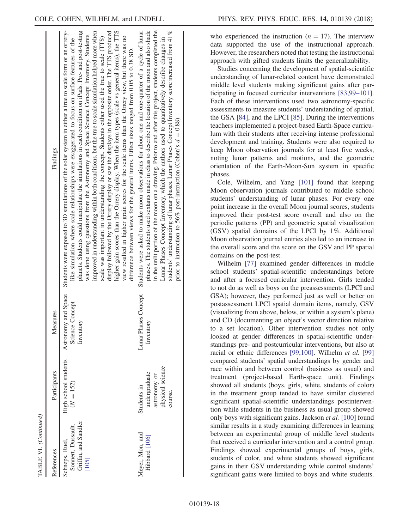| References                                                            | Participants                                                                | Measures                                            | Findings                                                                                                                                                                                                                                                                                                                                                                                                                                                                                                                                                                                                                                                                                                                                                                                                                                                                                                                                                                                                                           |
|-----------------------------------------------------------------------|-----------------------------------------------------------------------------|-----------------------------------------------------|------------------------------------------------------------------------------------------------------------------------------------------------------------------------------------------------------------------------------------------------------------------------------------------------------------------------------------------------------------------------------------------------------------------------------------------------------------------------------------------------------------------------------------------------------------------------------------------------------------------------------------------------------------------------------------------------------------------------------------------------------------------------------------------------------------------------------------------------------------------------------------------------------------------------------------------------------------------------------------------------------------------------------------|
| Griffin, and Sandler<br>Sonnert, Dussault,<br>Schneps, Ruel,<br>[105] | High school students<br>$(N = 152)$                                         | Astronomy and Space<br>Science Concept<br>Inventory | Students were exposed to 3D simulations of the solar system in either a true to scale form or an orrery-<br>planets. Students could manipulate the simulations in each condition on iPads. Pre- and post-testing<br>display followed by the Orrery display or saw the displays in the opposite order. The TTS produced<br>improved in understanding within both conditions, but the true to scale simulation helped more when<br>higher gain scores than the Orrery display. When the item types (scale vs general items), the TTS<br>was done using questions from the Astronomy and Space Science Concept Inventory. Students<br>view resulted in higher grain scores for the scale items than the Orrery view, but there was no<br>scale was important in understanding the concept. Students either used the true to scale (TTS)<br>like simulation where scale relationships were exaggerated to focus on surface features of the<br>difference between views for the general items. Effect sizes ranged from 0.05 to 0.38 SD |
| Meyer, Mon, and<br>Hibbard [106]                                      | physical science<br>undergraduate<br>astronomy or<br>Students in<br>course. | unar Phases Concept<br>Inventory                    | phases. The students used sextants made in class to describe the location of the moon and also shade<br>in the unlit portion of the moon on a drawing. Prior to and after this project, students completed the<br>Students were asked to make moon observations for about one and one-quarter of a cycle of lunar<br>students' understanding of lunar phases. Lunar Phases Concept Inventory score increased from 41%<br>Lunar Phases Concept Inventory, which the authors used to quantitatively describe changes in<br>prior to instruction to 56% post-instruction (Cohen's $d = 0.88$ ).                                                                                                                                                                                                                                                                                                                                                                                                                                       |
|                                                                       |                                                                             |                                                     |                                                                                                                                                                                                                                                                                                                                                                                                                                                                                                                                                                                                                                                                                                                                                                                                                                                                                                                                                                                                                                    |

who experienced the instruction ( $n = 17$ ). The interview data supported the use of the instructional approach. However, the researchers noted that testing the instructional approach with gifted students limits the generalizability.

Studies concerning the development of spatial-scientific understanding of lunar-related content have demonstrated middle level students making significant gains after participating in focused curricular interventions [\[83,99](#page-27-16)–101]. Each of these interventions used two astronomy-specific assessments to measure students' understanding of spatial, the GSA [\[84\]](#page-27-23), and the LPCI [\[85\].](#page-27-24) During the interventions teachers implemented a project-based Earth-Space curriculum with their students after receiving intense professional development and training. Students were also required to keep Moon observation journals for at least five weeks, noting lunar patterns and motions, and the geometric orientation of the Earth-Moon-Sun system in specific phases.

Cole, Wilhelm, and Yang [\[101\]](#page-28-1) found that keeping Moon observation journals contributed to middle school students' understanding of lunar phases. For every one point increase in the overall Moon journal scores, students improved their post-test score overall and also on the periodic patterns (PP) and geometric spatial visualization (GSV) spatial domains of the LPCI by 1%. Additional Moon observation journal entries also led to an increase in the overall score and the score on the GSV and PP spatial domains on the post-test.

Wilhelm [\[77\]](#page-27-11) examined gender differences in middle school students' spatial-scientific understandings before and after a focused curricular intervention. Girls tended to not do as well as boys on the preassessments (LPCI and GSA); however, they performed just as well or better on postassessment LPCI spatial domain items, namely, GSV (visualizing from above, below, or within a system's plane) and CD (documenting an object's vector direction relative to a set location). Other intervention studies not only looked at gender differences in spatial-scientific understandings pre- and postcurricular interventions, but also at racial or ethnic differences [\[99,100\].](#page-27-31) Wilhelm et al. [\[99\]](#page-27-31) compared students' spatial understandings by gender and race within and between control (business as usual) and treatment (project-based Earth-space unit). Findings showed all students (boys, girls, white, students of color) in the treatment group tended to have similar clustered significant spatial-scientific understandings postintervention while students in the business as usual group showed only boys with significant gains. Jackson et al. [\[100\]](#page-28-0) found similar results in a study examining differences in learning between an experimental group of middle level students that received a curricular intervention and a control group. Findings showed experimental groups of boys, girls, students of color, and white students showed significant gains in their GSV understanding while control students' significant gains were limited to boys and white students.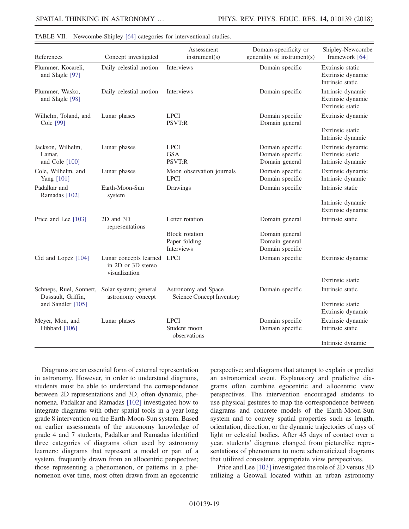| References                                    | Concept investigated                                               | Assessment<br>instrument(s)                                 | Domain-specificity or<br>generality of instrument(s) | Shipley-Newcombe<br>framework [64]                         |
|-----------------------------------------------|--------------------------------------------------------------------|-------------------------------------------------------------|------------------------------------------------------|------------------------------------------------------------|
| Plummer, Kocareli,<br>and Slagle [97]         | Daily celestial motion                                             | Interviews                                                  | Domain specific                                      | Extrinsic static<br>Extrinsic dynamic<br>Intrinsic static  |
| Plummer, Wasko,<br>and Slagle [98]            | Daily celestial motion                                             | <b>Interviews</b>                                           | Domain specific                                      | Intrinsic dynamic<br>Extrinsic dynamic<br>Extrinsic static |
| Wilhelm, Toland, and                          | Lunar phases                                                       | <b>LPCI</b>                                                 | Domain specific                                      | Extrinsic dynamic                                          |
| Cole [99]                                     |                                                                    | PSVT:R                                                      | Domain general                                       | Extrinsic static<br>Intrinsic dynamic                      |
| Jackson, Wilhelm,<br>Lamar,<br>and Cole [100] | Lunar phases                                                       | <b>LPCI</b><br><b>GSA</b><br>PSVT:R                         | Domain specific<br>Domain specific<br>Domain general | Extrinsic dynamic<br>Extrinsic static<br>Intrinsic dynamic |
| Cole, Wilhelm, and<br>Yang [101]              | Lunar phases                                                       | Moon observation journals<br><b>LPCI</b>                    | Domain specific<br>Domain specific                   | Extrinsic dynamic<br>Intrinsic dynamic                     |
| Padalkar and<br>Ramadas [102]                 | Earth-Moon-Sun<br>system                                           | Drawings                                                    | Domain specific                                      | Intrinsic static                                           |
|                                               |                                                                    |                                                             |                                                      | Intrinsic dynamic<br>Extrinsic dynamic                     |
| Price and Lee [103]                           | 2D and 3D<br>representations                                       | Letter rotation                                             | Domain general                                       | Intrinsic static                                           |
|                                               |                                                                    | <b>Block</b> rotation<br>Paper folding<br><b>Interviews</b> | Domain general<br>Domain general<br>Domain specific  |                                                            |
| Cid and Lopez [104]                           | Lunar concepts learned LPCI<br>in 2D or 3D stereo<br>visualization |                                                             | Domain specific                                      | Extrinsic dynamic                                          |
|                                               |                                                                    |                                                             |                                                      | Extrinsic static                                           |
| Schneps, Ruel, Sonnert,<br>Dussault, Griffin, | Solar system; general<br>astronomy concept                         | Astronomy and Space<br><b>Science Concept Inventory</b>     | Domain specific                                      | Intrinsic static                                           |
| and Sandler [105]                             |                                                                    |                                                             |                                                      | Extrinsic static<br>Extrinsic dynamic                      |
| Meyer, Mon, and<br>Hibbard [106]              | Lunar phases                                                       | <b>LPCI</b><br>Student moon                                 | Domain specific<br>Domain specific                   | Extrinsic dynamic<br>Intrinsic static                      |
|                                               |                                                                    | observations                                                |                                                      | Intrinsic dynamic                                          |

<span id="page-20-0"></span>

|  | TABLE VII. Newcombe-Shipley [64] categories for interventional studies. |  |  |  |  |  |
|--|-------------------------------------------------------------------------|--|--|--|--|--|
|--|-------------------------------------------------------------------------|--|--|--|--|--|

Diagrams are an essential form of external representation in astronomy. However, in order to understand diagrams, students must be able to understand the correspondence between 2D representations and 3D, often dynamic, phenomena. Padalkar and Ramadas [\[102\]](#page-28-2) investigated how to integrate diagrams with other spatial tools in a year-long grade 8 intervention on the Earth-Moon-Sun system. Based on earlier assessments of the astronomy knowledge of grade 4 and 7 students, Padalkar and Ramadas identified three categories of diagrams often used by astronomy learners: diagrams that represent a model or part of a system, frequently drawn from an allocentric perspective; those representing a phenomenon, or patterns in a phenomenon over time, most often drawn from an egocentric

perspective; and diagrams that attempt to explain or predict an astronomical event. Explanatory and predictive diagrams often combine egocentric and allocentric view perspectives. The intervention encouraged students to use physical gestures to map the correspondence between diagrams and concrete models of the Earth-Moon-Sun system and to convey spatial properties such as length, orientation, direction, or the dynamic trajectories of rays of light or celestial bodies. After 45 days of contact over a year, students' diagrams changed from picturelike representations of phenomena to more schematicized diagrams that utilized consistent, appropriate view perspectives.

Price and Lee [\[103\]](#page-28-3) investigated the role of 2D versus 3D utilizing a Geowall located within an urban astronomy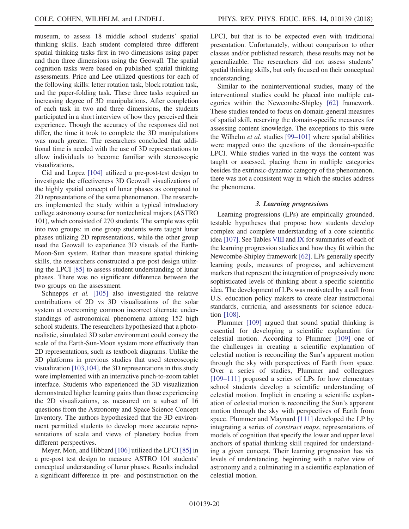museum, to assess 18 middle school students' spatial thinking skills. Each student completed three different spatial thinking tasks first in two dimensions using paper and then three dimensions using the Geowall. The spatial cognition tasks were based on published spatial thinking assessments. Price and Lee utilized questions for each of the following skills: letter rotation task, block rotation task, and the paper-folding task. These three tasks required an increasing degree of 3D manipulations. After completion of each task in two and three dimensions, the students participated in a short interview of how they perceived their experience. Though the accuracy of the responses did not differ, the time it took to complete the 3D manipulations was much greater. The researchers concluded that additional time is needed with the use of 3D representations to allow individuals to become familiar with stereoscopic visualizations.

Cid and Lopez [\[104\]](#page-28-4) utilized a pre-post-test design to investigate the effectiveness 3D Geowall visualizations of the highly spatial concept of lunar phases as compared to 2D representations of the same phenomenon. The researchers implemented the study within a typical introductory college astronomy course for nontechnical majors (ASTRO 101), which consisted of 270 students. The sample was split into two groups: in one group students were taught lunar phases utilizing 2D representations, while the other group used the Geowall to experience 3D visuals of the Earth-Moon-Sun system. Rather than measure spatial thinking skills, the researchers constructed a pre-post design utilizing the LPCI [\[85\]](#page-27-24) to assess student understanding of lunar phases. There was no significant difference between the two groups on the assessment.

Schnepps et al. [\[105\]](#page-28-5) also investigated the relative contributions of 2D vs 3D visualizations of the solar system at overcoming common incorrect alternate understandings of astronomical phenomena among 152 high school students. The researchers hypothesized that a photorealistic, simulated 3D solar environment could convey the scale of the Earth-Sun-Moon system more effectively than 2D representations, such as textbook diagrams. Unlike the 3D platforms in previous studies that used stereoscopic visualization [\[103,104\],](#page-28-3) the 3D representations in this study were implemented with an interactive pinch-to-zoom tablet interface. Students who experienced the 3D visualization demonstrated higher learning gains than those experiencing the 2D visualizations, as measured on a subset of 16 questions from the Astronomy and Space Science Concept Inventory. The authors hypothesized that the 3D environment permitted students to develop more accurate representations of scale and views of planetary bodies from different perspectives.

Meyer, Mon, and Hibbard [\[106\]](#page-28-6) utilized the LPCI [\[85\]](#page-27-24) in a pre-post test design to measure ASTRO 101 students' conceptual understanding of lunar phases. Results included a significant difference in pre- and postinstruction on the LPCI, but that is to be expected even with traditional presentation. Unfortunately, without comparison to other classes and/or published research, these results may not be generalizable. The researchers did not assess students' spatial thinking skills, but only focused on their conceptual understanding.

Similar to the noninterventional studies, many of the interventional studies could be placed into multiple categories within the Newcombe-Shipley [\[62\]](#page-26-26) framework. These studies tended to focus on domain-general measures of spatial skill, reserving the domain-specific measures for assessing content knowledge. The exceptions to this were the Wilhelm *et al.* studies  $[99-101]$  $[99-101]$  where spatial abilities were mapped onto the questions of the domain-specific LPCI. While studies varied in the ways the content was taught or assessed, placing them in multiple categories besides the extrinsic-dynamic category of the phenomenon, there was not a consistent way in which the studies address the phenomena.

#### 3. Learning progressions

Learning progressions (LPs) are empirically grounded, testable hypotheses that propose how students develop complex and complete understanding of a core scientific idea [\[107\].](#page-28-7) See Tables [VIII](#page-22-0) and [IX](#page-23-0) for summaries of each of the learning progression studies and how they fit within the Newcombe-Shipley framework [\[62\].](#page-26-26) LPs generally specify learning goals, measures of progress, and achievement markers that represent the integration of progressively more sophisticated levels of thinking about a specific scientific idea. The development of LPs was motivated by a call from U.S. education policy makers to create clear instructional standards, curricula, and assessments for science education [\[108\]](#page-28-8).

Plummer [\[109\]](#page-28-9) argued that sound spatial thinking is essential for developing a scientific explanation for celestial motion. According to Plummer [\[109\]](#page-28-9) one of the challenges in creating a scientific explanation of celestial motion is reconciling the Sun's apparent motion through the sky with perspectives of Earth from space. Over a series of studies, Plummer and colleagues [\[109](#page-28-9)–111] proposed a series of LPs for how elementary school students develop a scientific understanding of celestial motion. Implicit in creating a scientific explanation of celestial motion is reconciling the Sun's apparent motion through the sky with perspectives of Earth from space. Plummer and Maynard [\[111\]](#page-28-10) developed the LP by integrating a series of construct maps, representations of models of cognition that specify the lower and upper level anchors of spatial thinking skill required for understanding a given concept. Their learning progression has six levels of understanding, beginning with a naïve view of astronomy and a culminating in a scientific explanation of celestial motion.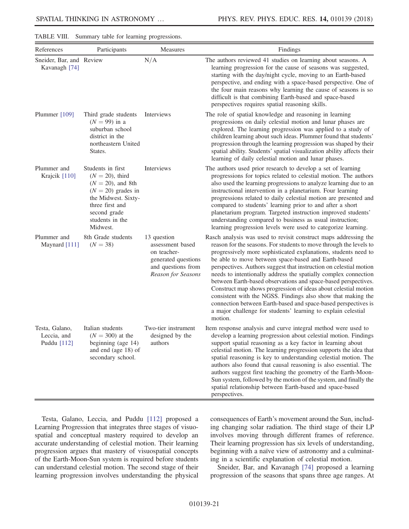| References                                   | Participants                                                                                                                                                                     | Measures                                                                                                          | Findings                                                                                                                                                                                                                                                                                                                                                                                                                                                                                                                                                                                                                                                                                                                                                     |
|----------------------------------------------|----------------------------------------------------------------------------------------------------------------------------------------------------------------------------------|-------------------------------------------------------------------------------------------------------------------|--------------------------------------------------------------------------------------------------------------------------------------------------------------------------------------------------------------------------------------------------------------------------------------------------------------------------------------------------------------------------------------------------------------------------------------------------------------------------------------------------------------------------------------------------------------------------------------------------------------------------------------------------------------------------------------------------------------------------------------------------------------|
| Sneider, Bar, and Review<br>Kavanagh [74]    |                                                                                                                                                                                  | N/A                                                                                                               | The authors reviewed 41 studies on learning about seasons. A<br>learning progression for the cause of seasons was suggested,<br>starting with the day/night cycle, moving to an Earth-based<br>perspective, and ending with a space-based perspective. One of<br>the four main reasons why learning the cause of seasons is so<br>difficult is that combining Earth-based and space-based<br>perspectives requires spatial reasoning skills.                                                                                                                                                                                                                                                                                                                 |
| Plummer [109]                                | Third grade students<br>$(N = 99)$ in a<br>suburban school<br>district in the<br>northeastern United<br>States.                                                                  | Interviews                                                                                                        | The role of spatial knowledge and reasoning in learning<br>progressions on daily celestial motion and lunar phases are<br>explored. The learning progression was applied to a study of<br>children learning about such ideas. Plummer found that students'<br>progression through the learning progression was shaped by their<br>spatial ability. Students' spatial visualization ability affects their<br>learning of daily celestial motion and lunar phases.                                                                                                                                                                                                                                                                                             |
| Plummer and<br>Krajcik [110]                 | Students in first<br>$(N = 20)$ , third<br>$(N = 20)$ , and 8th<br>$(N = 20)$ grades in<br>the Midwest. Sixty-<br>three first and<br>second grade<br>students in the<br>Midwest. | Interviews                                                                                                        | The authors used prior research to develop a set of learning<br>progressions for topics related to celestial motion. The authors<br>also used the learning progressions to analyze learning due to an<br>instructional intervention in a planetarium. Four learning<br>progressions related to daily celestial motion are presented and<br>compared to students' learning prior to and after a short<br>planetarium program. Targeted instruction improved students'<br>understanding compared to business as usual instruction;<br>learning progression levels were used to categorize learning.                                                                                                                                                            |
| Plummer and<br>Maynard [111]                 | 8th Grade students<br>$(N = 38)$                                                                                                                                                 | 13 question<br>assessment based<br>on teacher-<br>generated questions<br>and questions from<br>Reason for Seasons | Rasch analysis was used to revisit construct maps addressing the<br>reason for the seasons. For students to move through the levels to<br>progressively more sophisticated explanations, students need to<br>be able to move between space-based and Earth-based<br>perspectives. Authors suggest that instruction on celestial motion<br>needs to intentionally address the spatially complex connection<br>between Earth-based observations and space-based perspectives.<br>Construct map shows progression of ideas about celestial motion<br>consistent with the NGSS. Findings also show that making the<br>connection between Earth-based and space-based perspectives is<br>a major challenge for students' learning to explain celestial<br>motion. |
| Testa, Galano,<br>Leccia, and<br>Puddu [112] | Italian students<br>$(N = 300)$ at the<br>beginning (age 14)<br>and end (age 18) of<br>secondary school.                                                                         | Two-tier instrument<br>designed by the<br>authors                                                                 | Item response analysis and curve integral method were used to<br>develop a learning progression about celestial motion. Findings<br>support spatial reasoning as a key factor in learning about<br>celestial motion. The learning progression supports the idea that<br>spatial reasoning is key to understanding celestial motion. The<br>authors also found that causal reasoning is also essential. The<br>authors suggest first teaching the geometry of the Earth-Moon-<br>Sun system, followed by the motion of the system, and finally the<br>spatial relationship between Earth-based and space-based<br>perspectives.                                                                                                                               |

<span id="page-22-0"></span>TABLE VIII. Summary table for learning progressions.

Testa, Galano, Leccia, and Puddu [\[112\]](#page-28-11) proposed a Learning Progression that integrates three stages of visuospatial and conceptual mastery required to develop an accurate understanding of celestial motion. Their learning progression argues that mastery of visuospatial concepts of the Earth-Moon-Sun system is required before students can understand celestial motion. The second stage of their learning progression involves understanding the physical consequences of Earth's movement around the Sun, including changing solar radiation. The third stage of their LP involves moving through different frames of reference. Their learning progression has six levels of understanding, beginning with a naïve view of astronomy and a culminating in a scientific explanation of celestial motion.

Sneider, Bar, and Kavanagh [\[74\]](#page-27-8) proposed a learning progression of the seasons that spans three age ranges. At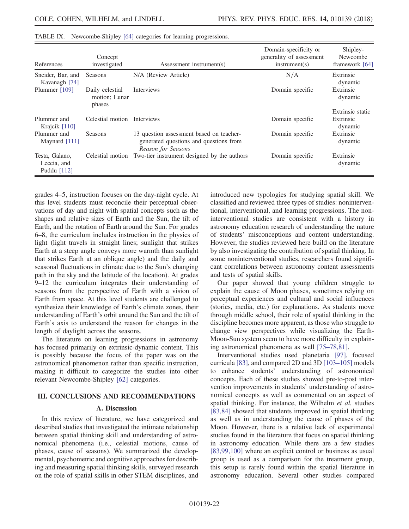| References                                   | Concept<br>investigated                    | Assessment instrument(s)                                                                                 | Domain-specificity or<br>generality of assessment<br>instrument(s) | Shipley-<br>Newcombe<br>framework [64] |
|----------------------------------------------|--------------------------------------------|----------------------------------------------------------------------------------------------------------|--------------------------------------------------------------------|----------------------------------------|
| Sneider, Bar, and<br>Kavanagh [74]           | Seasons                                    | N/A (Review Article)                                                                                     | N/A                                                                | Extrinsic<br>dynamic                   |
| Plummer [109]                                | Daily celestial<br>motion; Lunar<br>phases | Interviews                                                                                               | Domain specific                                                    | Extrinsic<br>dynamic                   |
|                                              |                                            |                                                                                                          |                                                                    | Extrinsic static                       |
| Plummer and<br>Krajcik $[110]$               | Celestial motion                           | <b>Interviews</b>                                                                                        | Domain specific                                                    | Extrinsic<br>dynamic                   |
| Plummer and<br>Maynard $[111]$               | <b>Seasons</b>                             | 13 question assessment based on teacher-<br>generated questions and questions from<br>Reason for Seasons | Domain specific                                                    | Extrinsic<br>dynamic                   |
| Testa, Galano,<br>Leccia, and<br>Puddu [112] | Celestial motion                           | Two-tier instrument designed by the authors                                                              | Domain specific                                                    | Extrinsic<br>dynamic                   |

<span id="page-23-0"></span>

| TABLE IX. Newcombe-Shipley [64] categories for learning progressions. |  |  |  |
|-----------------------------------------------------------------------|--|--|--|
|                                                                       |  |  |  |

grades 4–5, instruction focuses on the day-night cycle. At this level students must reconcile their perceptual observations of day and night with spatial concepts such as the shapes and relative sizes of Earth and the Sun, the tilt of Earth, and the rotation of Earth around the Sun. For grades 6–8, the curriculum includes instruction in the physics of light (light travels in straight lines; sunlight that strikes Earth at a steep angle conveys more warmth than sunlight that strikes Earth at an oblique angle) and the daily and seasonal fluctuations in climate due to the Sun's changing path in the sky and the latitude of the location). At grades 9–12 the curriculum integrates their understanding of seasons from the perspective of Earth with a vision of Earth from space. At this level students are challenged to synthesize their knowledge of Earth's climate zones, their understanding of Earth's orbit around the Sun and the tilt of Earth's axis to understand the reason for changes in the length of daylight across the seasons.

The literature on learning progressions in astronomy has focused primarily on extrinsic-dynamic content. This is possibly because the focus of the paper was on the astronomical phenomenon rather than specific instruction, making it difficult to categorize the studies into other relevant Newcombe-Shipley [\[62\]](#page-26-26) categories.

#### III. CONCLUSIONS AND RECOMMENDATIONS

#### A. Discussion

In this review of literature, we have categorized and described studies that investigated the intimate relationship between spatial thinking skill and understanding of astronomical phenomena (i.e., celestial motions, cause of phases, cause of seasons). We summarized the developmental, psychometric and cognitive approaches for describing and measuring spatial thinking skills, surveyed research on the role of spatial skills in other STEM disciplines, and introduced new typologies for studying spatial skill. We classified and reviewed three types of studies: noninterventional, interventional, and learning progressions. The noninterventional studies are consistent with a history in astronomy education research of understanding the nature of students' misconceptions and content understanding. However, the studies reviewed here build on the literature by also investigating the contribution of spatial thinking. In some noninterventional studies, researchers found significant correlations between astronomy content assessments and tests of spatial skills.

Our paper showed that young children struggle to explain the cause of Moon phases, sometimes relying on perceptual experiences and cultural and social influences (stories, media, etc.) for explanations. As students move through middle school, their role of spatial thinking in the discipline becomes more apparent, as those who struggle to change view perspectives while visualizing the Earth-Moon-Sun system seem to have more difficulty in explaining astronomical phenomena as well [75–[78,81\].](#page-27-9)

Interventional studies used planetaria [\[97\],](#page-27-29) focused curricula [\[83\]](#page-27-16), and compared 2D and 3D [\[103](#page-28-3)–105] models to enhance students' understanding of astronomical concepts. Each of these studies showed pre-to-post intervention improvements in students' understanding of astronomical concepts as well as commented on an aspect of spatial thinking. For instance, the Wilhelm et al. studies [\[83,84\]](#page-27-16) showed that students improved in spatial thinking as well as in understanding the cause of phases of the Moon. However, there is a relative lack of experimental studies found in the literature that focus on spatial thinking in astronomy education. While there are a few studies [\[83,99,100\]](#page-27-16) where an explicit control or business as usual group is used as a comparison for the treatment group, this setup is rarely found within the spatial literature in astronomy education. Several other studies compared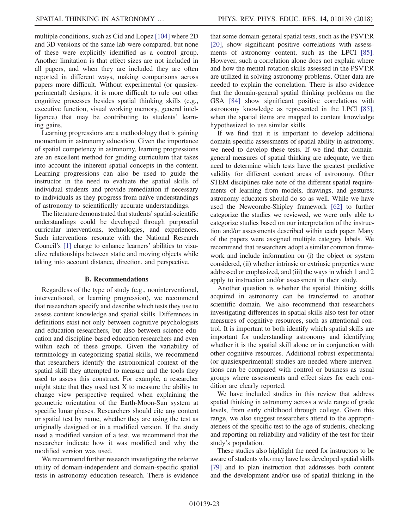multiple conditions, such as Cid and Lopez [\[104\]](#page-28-4) where 2D and 3D versions of the same lab were compared, but none of these were explicitly identified as a control group. Another limitation is that effect sizes are not included in all papers, and when they are included they are often reported in different ways, making comparisons across papers more difficult. Without experimental (or quasiexperimental) designs, it is more difficult to rule out other cognitive processes besides spatial thinking skills (e.g., executive function, visual working memory, general intelligence) that may be contributing to students' learning gains.

Learning progressions are a methodology that is gaining momentum in astronomy education. Given the importance of spatial competency in astronomy, learning progressions are an excellent method for guiding curriculum that takes into account the inherent spatial concepts in the content. Learning progressions can also be used to guide the instructor in the need to evaluate the spatial skills of individual students and provide remediation if necessary to individuals as they progress from naïve understandings of astronomy to scientifically accurate understandings.

The literature demonstrated that students' spatial-scientific understandings could be developed through purposeful curricular interventions, technologies, and experiences. Such interventions resonate with the National Research Council's [\[1\]](#page-25-0) charge to enhance learners' abilities to visualize relationships between static and moving objects while taking into account distance, direction, and perspective.

#### B. Recommendations

Regardless of the type of study (e.g., noninterventional, interventional, or learning progression), we recommend that researchers specify and describe which tests they use to assess content knowledge and spatial skills. Differences in definitions exist not only between cognitive psychologists and education researchers, but also between science education and discipline-based education researchers and even within each of these groups. Given the variability of terminology in categorizing spatial skills, we recommend that researchers identify the astronomical context of the spatial skill they attempted to measure and the tools they used to assess this construct. For example, a researcher might state that they used test  $X$  to measure the ability to change view perspective required when explaining the geometric orientation of the Earth-Moon-Sun system at specific lunar phases. Researchers should cite any content or spatial test by name, whether they are using the test as originally designed or in a modified version. If the study used a modified version of a test, we recommend that the researcher indicate how it was modified and why the modified version was used.

We recommend further research investigating the relative utility of domain-independent and domain-specific spatial tests in astronomy education research. There is evidence that some domain-general spatial tests, such as the PSVT:R [\[20\]](#page-25-18), show significant positive correlations with assessments of astronomy content, such as the LPCI [\[85\]](#page-27-24). However, such a correlation alone does not explain where and how the mental rotation skills assessed in the PSVT:R are utilized in solving astronomy problems. Other data are needed to explain the correlation. There is also evidence that the domain-general spatial thinking problems on the GSA [\[84\]](#page-27-23) show significant positive correlations with astronomy knowledge as represented in the LPCI [\[85\]](#page-27-24), when the spatial items are mapped to content knowledge hypothesized to use similar skills.

If we find that it is important to develop additional domain-specific assessments of spatial ability in astronomy, we need to develop these tests. If we find that domaingeneral measures of spatial thinking are adequate, we then need to determine which tests have the greatest predictive validity for different content areas of astronomy. Other STEM disciplines take note of the different spatial requirements of learning from models, drawings, and gestures; astronomy educators should do so as well. While we have used the Newcombe-Shipley framework [\[62\]](#page-26-26) to further categorize the studies we reviewed, we were only able to categorize studies based on our interpretation of the instruction and/or assessments described within each paper. Many of the papers were assigned multiple category labels. We recommend that researchers adopt a similar common framework and include information on (i) the object or system considered, (ii) whether intrinsic or extrinsic properties were addressed or emphasized, and (iii) the ways in which 1 and 2 apply to instruction and/or assessment in their study.

Another question is whether the spatial thinking skills acquired in astronomy can be transferred to another scientific domain. We also recommend that researchers investigating differences in spatial skills also test for other measures of cognitive resources, such as attentional control. It is important to both identify which spatial skills are important for understanding astronomy and identifying whether it is the spatial skill alone or in conjunction with other cognitive resources. Additional robust experimental (or quasiexperimental) studies are needed where interventions can be compared with control or business as usual groups where assessments and effect sizes for each condition are clearly reported.

We have included studies in this review that address spatial thinking in astronomy across a wide range of grade levels, from early childhood through college. Given this range, we also suggest researchers attend to the appropriateness of the specific test to the age of students, checking and reporting on reliability and validity of the test for their study's population.

These studies also highlight the need for instructors to be aware of students who may have less developed spatial skills [\[79\]](#page-27-13) and to plan instruction that addresses both content and the development and/or use of spatial thinking in the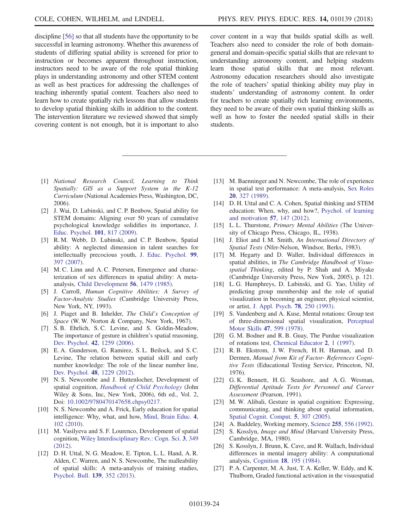discipline [\[56\]](#page-26-21) so that all students have the opportunity to be

successful in learning astronomy. Whether this awareness of students of differing spatial ability is screened for prior to instruction or becomes apparent throughout instruction, instructors need to be aware of the role spatial thinking plays in understanding astronomy and other STEM content as well as best practices for addressing the challenges of teaching inherently spatial content. Teachers also need to learn how to create spatially rich lessons that allow students to develop spatial thinking skills in addition to the content. The intervention literature we reviewed showed that simply covering content is not enough, but it is important to also

cover content in a way that builds spatial skills as well. Teachers also need to consider the role of both domaingeneral and domain-specific spatial skills that are relevant to understanding astronomy content, and helping students learn those spatial skills that are most relevant. Astronomy education researchers should also investigate the role of teachers' spatial thinking ability may play in students' understanding of astronomy content. In order for teachers to create spatially rich learning environments, they need to be aware of their own spatial thinking skills as well as how to foster the needed spatial skills in their students.

- <span id="page-25-0"></span>[1] National Research Council, Learning to Think Spatially: GIS as a Support System in the K-12 Curriculum (National Academies Press, Washington, DC, 2006).
- <span id="page-25-1"></span>[2] J. Wai, D. Lubinski, and C. P. Benbow, Spatial ability for STEM domains: Aligning over 50 years of cumulative psychological knowledge solidifies its importance, [J.](https://doi.org/10.1037/a0016127) [Educ. Psychol.](https://doi.org/10.1037/a0016127) 101, 817 (2009).
- [3] R. M. Webb, D. Lubinski, and C. P. Benbow, Spatial ability: A neglected dimension in talent searches for intellectually precocious youth, [J. Educ. Psychol.](https://doi.org/10.1037/0022-0663.99.2.397) 99, [397 \(2007\)](https://doi.org/10.1037/0022-0663.99.2.397).
- <span id="page-25-2"></span>[4] M. C. Linn and A. C. Petersen, Emergence and characterization of sex differences in spatial ability: A metaanalysis, [Child Development](https://doi.org/10.2307/1130467) 56, 1479 (1985).
- <span id="page-25-3"></span>[5] J. Carroll, Human Cognitive Abilities: A Survey of Factor-Analytic Studies (Cambridge University Press, New York, NY, 1993).
- <span id="page-25-4"></span>[6] J. Piaget and B. Inhelder, The Child's Conception of Space (W. W. Norton & Company, New York, 1967).
- <span id="page-25-5"></span>[7] S. B. Ehrlich, S. C. Levine, and S. Goldin-Meadow, The importance of gesture in children's spatial reasoning, Dev. Psychol. 42[, 1259 \(2006\).](https://doi.org/10.1037/0012-1649.42.6.1259)
- <span id="page-25-6"></span>[8] E. A. Gunderson, G. Ramirez, S. L. Beilock, and S. C. Levine, The relation between spatial skill and early number knowledge: The role of the linear number line, Dev. Psychol. 48[, 1229 \(2012\).](https://doi.org/10.1037/a0027433)
- <span id="page-25-7"></span>[9] N. S. Newcombe and J. Huttenlocher, Development of spatial cognition, [Handbook of Child Psychology](https://doi.org/10.1002/9780470147658.chpsy0217) (John Wiley & Sons, Inc, New York, 2006), 6th ed., Vol. 2, Doi: [10.1002/9780470147658.chpsy0217.](https://doi.org/10.1002/9780470147658.chpsy0217)
- <span id="page-25-8"></span>[10] N. S. Newcombe and A. Frick, Early education for spatial intelligence: Why, what, and how, [Mind, Brain Educ.](https://doi.org/10.1111/j.1751-228X.2010.01089.x) 4, [102 \(2010\)](https://doi.org/10.1111/j.1751-228X.2010.01089.x).
- <span id="page-25-9"></span>[11] M. Vasilyeva and S. F. Lourenco, Development of spatial cognition, [Wiley Interdisciplinary Rev.: Cogn. Sci.](https://doi.org/10.1002/wcs.1171) 3, 349 [\(2012\).](https://doi.org/10.1002/wcs.1171)
- <span id="page-25-10"></span>[12] D. H. Uttal, N. G. Meadow, E. Tipton, L. L. Hand, A. R. Alden, C. Warren, and N. S. Newcombe, The malleability of spatial skills: A meta-analysis of training studies, [Psychol. Bull.](https://doi.org/10.1037/a0028446) 139, 352 (2013).
- <span id="page-25-11"></span>[13] M. Baenninger and N. Newcombe, The role of experience in spatial test performance: A meta-analysis, [Sex Roles](https://doi.org/10.1007/BF00287729) 20[, 327 \(1989\)](https://doi.org/10.1007/BF00287729).
- <span id="page-25-12"></span>[14] D. H. Uttal and C. A. Cohen, Spatial thinking and STEM education: When, why, and how?, [Psychol. of learning](https://doi.org/10.1016/B978-0-12-394293-7.00004-2) [and motivation](https://doi.org/10.1016/B978-0-12-394293-7.00004-2) 57, 147 (2012).
- <span id="page-25-13"></span>[15] L. L. Thurstone, *Primary Mental Abilities* (The University of Chicago Press, Chicago, IL, 1938).
- <span id="page-25-14"></span>[16] J. Eliot and I. M. Smith, An International Directory of Spatial Tests (Nfer-Nelson, Windsor, Berks, 1983).
- <span id="page-25-15"></span>[17] M. Hegarty and D. Waller, Individual differences in spatial abilities, in The Cambridge Handbook of Visuospatial Thinking, edited by P. Shah and A. Miyake (Cambridge University Press, New York, 2005), p. 121.
- <span id="page-25-16"></span>[18] L. G. Humphreys, D. Lubinski, and G. Yao, Utility of predicting group membership and the role of spatial visualization in becoming an engineer, physical scientist, or artist, [J. Appl. Psych.](https://doi.org/10.1037/0021-9010.78.2.250) 78, 250 (1993).
- <span id="page-25-17"></span>[19] S. Vandenberg and A. Kuse, Mental rotations: Group test of three-dimensional spatial visualization, [Perceptual](https://doi.org/10.2466/pms.1978.47.2.599) Motor Skills 47[, 599 \(1978\)](https://doi.org/10.2466/pms.1978.47.2.599).
- <span id="page-25-18"></span>[20] G. M. Bodner and R. B. Guay, The Purdue visualization of rotations test, [Chemical Educator](https://doi.org/10.1007/s00897970138a) 2, 1 (1997).
- <span id="page-25-19"></span>[21] R. B. Ekstrom, J. W. French, H. H. Harman, and D. Dermen, Manual from Kit of Factor- References Cognitive Tests (Educational Testing Service, Princeton, NJ, 1976).
- <span id="page-25-20"></span>[22] G. K. Bennett, H. G. Seashore, and A. G. Wesman, Differential Aptitude Tests for Personnel and Career Assessment (Pearson, 1991).
- <span id="page-25-21"></span>[23] M. W. Alibali, Gesture in spatial cognition: Expressing, communicating, and thinking about spatial information, [Spatial Cognit. Comput.](https://doi.org/10.1207/s15427633scc0504_2) 5, 307 (2005).
- <span id="page-25-22"></span>[24] A. Baddeley, Working memory, Science 255[, 556 \(1992\).](https://doi.org/10.1126/science.1736359)
- <span id="page-25-23"></span>[25] S. Kosslyn, *Image and Mind* (Harvard University Press, Cambridge, MA, 1980).
- [26] S. Kosslyn, J. Brunn, K. Cave, and R. Wallach, Individual differences in mental imagery ability: A computational analysis, Cognition 18[, 195 \(1984\).](https://doi.org/10.1016/0010-0277(84)90025-8)
- <span id="page-25-24"></span>[27] P. A. Carpenter, M. A. Just, T. A. Keller, W. Eddy, and K. Thulborn, Graded functional activation in the visuospatial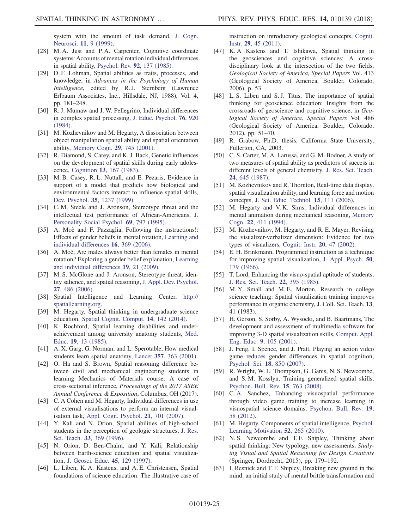system with the amount of task demand, [J. Cogn.](https://doi.org/10.1162/089892999563210) Neurosci. 11[, 9 \(1999\).](https://doi.org/10.1162/089892999563210)

- [28] M. A. Just and P. A. Carpenter, Cognitive coordinate systems: Accounts of mental rotation individual differences in spatial ability, [Psychol. Rev.](https://doi.org/10.1037/0033-295X.92.2.137) 92, 137 (1985).
- [29] D. F. Lohman, Spatial abilities as traits, processes, and knowledge, in Advances in the Psychology of Human Intelligence, edited by R. J. Sternberg (Lawrence Erlbaum Associates, Inc., Hillsdale, NJ, 1988), Vol. 4, pp. 181–248.
- [30] R. J. Mumaw and J. W. Pellegrino, Individual differences in complex spatial processing, [J. Educ. Psychol.](https://doi.org/10.1037/0022-0663.76.5.920) 76, 920 [\(1984\).](https://doi.org/10.1037/0022-0663.76.5.920)
- <span id="page-26-0"></span>[31] M. Kozhevnikov and M. Hegarty, A dissociation between object manipulation spatial ability and spatial orientation ability, [Memory Cogn.](https://doi.org/10.3758/BF03200477) 29, 745 (2001).
- <span id="page-26-1"></span>[32] R. Diamond, S. Carey, and K. J. Back, Genetic influences on the development of spatial skills during early adolescence, Cognition 13[, 167 \(1983\).](https://doi.org/10.1016/0010-0277(83)90021-5)
- <span id="page-26-2"></span>[33] M. B. Casey, R. L. Nuttall, and E. Pezaris, Evidence in support of a model that predicts how biological and environmental factors interact to influence spatial skills, Dev. Psychol. 35[, 1237 \(1999\).](https://doi.org/10.1037/0012-1649.35.5.1237)
- <span id="page-26-3"></span>[34] C. M. Steele and J. Aronson, Stereotype threat and the intellectual test performance of African-Americans, [J.](https://doi.org/10.1037/0022-3514.69.5.797) [Personality Social Psychol.](https://doi.org/10.1037/0022-3514.69.5.797) 69, 797 (1995).
- <span id="page-26-4"></span>[35] A. Moè and F. Pazzaglia, Following the instructions!: Effects of gender beliefs in mental rotation, [Learning and](https://doi.org/10.1016/j.lindif.2007.01.002) [individual differences](https://doi.org/10.1016/j.lindif.2007.01.002) 16, 369 (2006).
- [36] A. Moè, Are males always better than females in mental rotation? Exploring a gender belief explanation, [Learning](https://doi.org/10.1016/j.lindif.2008.02.002) [and individual differences](https://doi.org/10.1016/j.lindif.2008.02.002) 19, 21 (2009).
- <span id="page-26-5"></span>[37] M. S. McGlone and J. Aronson, Stereotype threat, identity salience, and spatial reasoning, [J. Appl. Dev. Psychol.](https://doi.org/10.1016/j.appdev.2006.06.003) 27[, 486 \(2006\)](https://doi.org/10.1016/j.appdev.2006.06.003).
- <span id="page-26-6"></span>[38] Spatial Intelligence and Learning Center, [http://](http://spatiallearning.org) [spatiallearning.org.](http://spatiallearning.org)
- <span id="page-26-7"></span>[39] M. Hegarty, Spatial thinking in undergraduate science education, [Spatial Cognit. Comput.](https://doi.org/10.1080/13875868.2014.889696) 14, 142 (2014).
- <span id="page-26-8"></span>[40] K. Rochford, Spatial learning disabilities and underachievement among university anatomy students, [Med.](https://doi.org/10.1111/j.1365-2923.1985.tb01134.x) Educ. 19[, 13 \(1985\).](https://doi.org/10.1111/j.1365-2923.1985.tb01134.x)
- <span id="page-26-10"></span>[41] A. X. Garg, G. Norman, and L. Sperotable, How medical students learn spatial anatomy, Lancet 357[, 363 \(2001\).](https://doi.org/10.1016/S0140-6736(00)03649-7)
- <span id="page-26-11"></span>[42] O. Ha and S. Brown, Spatial reasoning difference between civil and mechanical engineering students in learning Mechanics of Materials course: A case of cross-sectional inference, Proceedings of the 2017 ASEE Annual Conference & Exposition, Columbus, OH (2017).
- <span id="page-26-9"></span>[43] C. A Cohen and M. Hegarty, Individual differences in use of external visualisations to perform an internal visualisation task, [Appl. Cogn. Psychol.](https://doi.org/10.1002/acp.1344) 21, 701 (2007).
- <span id="page-26-12"></span>[44] Y. Kali and N. Orion, Spatial abilities of high-school students in the perception of geologic structures, [J. Res.](https://doi.org/10.1002/(SICI)1098-2736(199604)33:4%3C369::AID-TEA2%3E3.0.CO;2-Q) Sci. Teach. 33[, 369 \(1996\)](https://doi.org/10.1002/(SICI)1098-2736(199604)33:4%3C369::AID-TEA2%3E3.0.CO;2-Q).
- [45] N. Orion, D. Ben-Chaim, and Y. Kali, Relationship between Earth-science education and spatial visualization, [J. Geosci. Educ.](https://doi.org/10.5408/1089-9995-45.2.129) 45, 129 (1997).
- <span id="page-26-13"></span>[46] L. Liben, K. A. Kastens, and A. E. Christensen, Spatial foundations of science education: The illustrative case of

instruction on introductory geological concepts, [Cognit.](https://doi.org/10.1080/07370008.2010.533596) Instr. 29[, 45 \(2011\)](https://doi.org/10.1080/07370008.2010.533596).

- <span id="page-26-14"></span>[47] K. A Kastens and T. Ishikawa, Spatial thinking in the geosciences and cognitive sciences: A crossdisciplinary look at the intersection of the two fields, Geological Society of America, Special Papers Vol. 413 (Geological Society of America, Boulder, Colorado, 2006), p. 53.
- <span id="page-26-15"></span>[48] L. S. Liben and S. J. Titus, The importance of spatial thinking for geoscience education: Insights from the crossroads of geoscience and cognitive science, in Geological Society of America, Special Papers Vol. 486 (Geological Society of America, Boulder, Colorado, 2012), pp. 51–70.
- [49] R. Grabow, Ph.D. thesis, California State University, Fullerton, CA, 2003.
- [50] C. S. Carter, M. A. Larussa, and G. M. Bodner, A study of two measures of spatial ability as predictors of success in different levels of general chemistry, [J. Res. Sci. Teach.](https://doi.org/10.1002/tea.3660240705) 24[, 645 \(1987\)](https://doi.org/10.1002/tea.3660240705).
- <span id="page-26-16"></span>[51] M. Kozhevnikov and R. Thornton, Real-time data display, spatial visualization ability, and learning force and motion concepts, [J. Sci. Educ. Technol.](https://doi.org/10.1007/s10956-006-0361-0) 15, 111 (2006).
- <span id="page-26-17"></span>[52] M. Hegarty and V. K. Sims, Individual differences in mental animation during mechanical reasoning, [Memory](https://doi.org/10.3758/BF03200867) Cogn. 22[, 411 \(1994\).](https://doi.org/10.3758/BF03200867)
- <span id="page-26-18"></span>[53] M. Kozhevnikov, M. Hegarty, and R. E. Mayer, Revising the visualizer-verbalizer dimension: Evidence for two types of visualizers, [Cognit. Instr.](https://doi.org/10.1207/S1532690XCI2001_3) 20, 47 (2002).
- <span id="page-26-19"></span>[54] E. H. Brinkmann, Programmed instruction as a technique for improving spatial visualization, [J. Appl. Psych.](https://doi.org/10.1037/h0023068) 50, [179 \(1966\)](https://doi.org/10.1037/h0023068).
- <span id="page-26-20"></span>[55] T. Lord, Enhancing the visuo-spatial aptitude of students, [J. Res. Sci. Teach.](https://doi.org/10.1002/tea.3660220503) 22, 395 (1985).
- <span id="page-26-21"></span>[56] M. Y. Small and M. E. Morton, Research in college science teaching: Spatial visualization training improves performance in organic chemistry, J. Coll. Sci. Teach. 13, 41 (1983).
- <span id="page-26-22"></span>[57] H. Gerson, S. Sorby, A. Wysocki, and B. Baartmans, The development and assessment of multimedia software for improving 3-D spatial visualization skills, [Comput. Appl.](https://doi.org/10.1002/cae.1012) Eng. Educ. 9[, 105 \(2001\).](https://doi.org/10.1002/cae.1012)
- <span id="page-26-23"></span>[58] J. Feng, I. Spence, and J. Pratt, Playing an action video game reduces gender differences in spatial cognition, [Psychol. Sci.](https://doi.org/10.1111/j.1467-9280.2007.01990.x) 18, 850 (2007).
- <span id="page-26-24"></span>[59] R. Wright, W. L. Thompson, G. Ganis, N. S. Newcombe, and S. M. Kosslyn, Training generalized spatial skills, [Psychon. Bull. Rev.](https://doi.org/10.3758/PBR.15.4.763) 15, 763 (2008).
- <span id="page-26-25"></span>[60] C. A. Sanchez, Enhancing visuospatial performance through video game training to increase learning in visuospatial science domains, [Psychon. Bull. Rev.](https://doi.org/10.3758/s13423-011-0177-7) 19, [58 \(2012\)](https://doi.org/10.3758/s13423-011-0177-7).
- <span id="page-26-26"></span>[61] M. Hegarty, Components of spatial intelligence, [Psychol.](https://doi.org/10.1016/S0079-7421(10)52007-3) [Learning Motivation](https://doi.org/10.1016/S0079-7421(10)52007-3) 52, 265 (2010).
- [62] N.S. Newcombe and T.F. Shipley, Thinking about spatial thinking: New typology, new assessments, Studying Visual and Spatial Reasoning for Design Creativity (Springer, Dordrecht, 2015), pp. 179–192.
- <span id="page-26-27"></span>[63] I. Resnick and T. F. Shipley, Breaking new ground in the mind: an initial study of mental brittle transformation and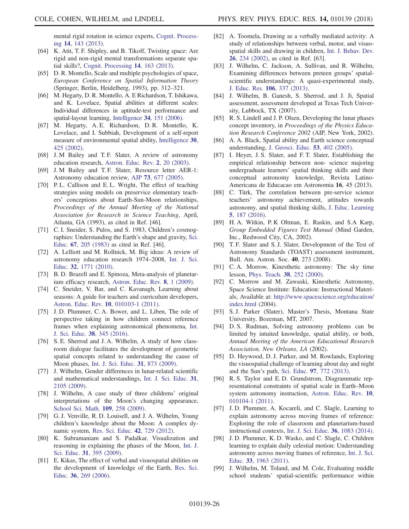mental rigid rotation in science experts, [Cognit. Process](https://doi.org/10.1007/s10339-013-0548-2)ing 14[, 143 \(2013\).](https://doi.org/10.1007/s10339-013-0548-2)

- <span id="page-27-0"></span>[64] K. Atit, T. F. Shipley, and B. Tikoff, Twisting space: Are rigid and non-rigid mental transformations separate spatial skills?, [Cognit. Processing](https://doi.org/10.1007/s10339-013-0550-8) 14, 163 (2013).
- <span id="page-27-1"></span>[65] D. R. Montello, Scale and multiple psychologies of space, European Conference on Spatial Information Theory (Springer, Berlin, Heidelberg, 1993), pp. 312–321.
- <span id="page-27-2"></span>[66] M. Hegarty, D. R. Montello, A. E Richardson, T. Ishikawa, and K. Lovelace, Spatial abilities at different scales: Individual differences in aptitude-test performance and spatial-layout learning, Intelligence 34[, 151 \(2006\).](https://doi.org/10.1016/j.intell.2005.09.005)
- [67] M. Hegarty, A. E. Richardson, D. R. Montello, K. Lovelace, and I. Subbiah, Development of a self-report measure of environmental spatial ability, [Intelligence](https://doi.org/10.1016/S0160-2896(02)00116-2) 30, [425 \(2002\)](https://doi.org/10.1016/S0160-2896(02)00116-2).
- <span id="page-27-3"></span>[68] J. M Bailey and T. F. Slater, A review of astronomy education research, [Astron. Educ. Rev.](https://doi.org/10.3847/AER2003015) 2, 20 (2003).
- <span id="page-27-4"></span>[69] J. M Bailey and T. F. Slater, Resource letter AER-1: Astronomy education review, AJP 73[, 677 \(2005\).](https://doi.org/10.1119/1.1949630)
- <span id="page-27-5"></span>[70] P.L. Callison and E.L. Wright, The effect of teaching strategies using models on preservice elementary teachers' conceptions about Earth-Sun-Moon relationships, Proceedings of the Annual Meeting of the National Association for Research in Science Teaching, April, Atlanta, GA (1993), as cited in Ref. [46].
- [71] C. I. Sneider, S. Pulos, and S. 1983, Children's cosmographies: Understanding the Earth's shape and gravity, [Sci.](https://doi.org/10.1002/sce.3730670209) Educ. 67[, 205 \(1983\)](https://doi.org/10.1002/sce.3730670209) as cited in Ref. [46].
- <span id="page-27-6"></span>[72] A. Lelliott and M. Rollnick, M. Big ideas: A review of astronomy education research 1974–2008, [Int. J. Sci.](https://doi.org/10.1080/09500690903214546) Educ. 32[, 1771 \(2010\)](https://doi.org/10.1080/09500690903214546).
- <span id="page-27-7"></span>[73] B. D. Brazell and E. Spinoza, Meta-analysis of planetarium efficacy research, [Astron. Educ. Rev.](https://doi.org/10.3847/AER2009033) 8, 1 (2009).
- <span id="page-27-8"></span>[74] C. Sneider, V. Bar, and C. Kavanagh, Learning about seasons: A guide for teachers and curriculum developers, [Astron. Educ. Rev.](https://doi.org/10.3847/AER2010035) 10, 010103-1 (2011).
- <span id="page-27-9"></span>[75] J. D. Plummer, C. A. Bower, and L. Liben, The role of perspective taking in how children connect reference frames when explaining astronomical phenomena, [Int.](https://doi.org/10.1080/09500693.2016.1140921) [J. Sci. Educ.](https://doi.org/10.1080/09500693.2016.1140921) 38, 345 (2016).
- <span id="page-27-10"></span>[76] S. E. Sherrod and J. A. Wilhelm, A study of how classroom dialogue facilitates the development of geometric spatial concepts related to understanding the cause of Moon phases, [Int. J. Sci. Educ.](https://doi.org/10.1080/09500690801975768) 31, 873 (2009).
- <span id="page-27-11"></span>[77] J. Wilhelm, Gender differences in lunar-related scientific and mathematical understandings, [Int. J. Sci. Educ.](https://doi.org/10.1080/09500690802483093) 31, [2105 \(2009\).](https://doi.org/10.1080/09500690802483093)
- <span id="page-27-12"></span>[78] J. Wilhelm, A case study of three childrens' original interpretations of the Moon's changing appearance, [School Sci. Math.](https://doi.org/10.1111/j.1949-8594.2009.tb18091.x) 109, 258 (2009).
- <span id="page-27-13"></span>[79] G. J. Venville, R. D. Louisell, and J. A. Wilhelm, Young children's knowledge about the Moon: A complex dynamic system, [Res. Sci. Educ.](https://doi.org/10.1007/s11165-011-9220-y) 42, 729 (2012).
- <span id="page-27-14"></span>[80] K. Subramaniam and S. Padalkar, Visualization and reasoning in explaining the phases of the Moon, [Int. J.](https://doi.org/10.1080/09500690802595805) Sci. Educ. 31[, 395 \(2009\)](https://doi.org/10.1080/09500690802595805).
- <span id="page-27-15"></span>[81] E. Kikas, The effect of verbal and visuospatial abilities on the development of knowledge of the Earth, [Res. Sci.](https://doi.org/10.1007/s11165-005-9010-5) Educ. 36[, 269 \(2006\).](https://doi.org/10.1007/s11165-005-9010-5)
- <span id="page-27-22"></span>[82] A. Toomela, Drawing as a verbally mediated activity: A study of relationships between verbal, motor, and visuospatial skills and drawing in children, [Int. J. Behav. Dev.](https://doi.org/10.1080/01650250143000021) 26[, 234 \(2002\)](https://doi.org/10.1080/01650250143000021), as cited in Ref. [63].
- <span id="page-27-16"></span>[83] J. Wilhelm, C. Jackson, A. Sullivan, and R. Wilhelm, Examining differences between preteen groups' spatialscientific understandings: A quasi-experimental study, [J. Educ. Res.](https://doi.org/10.1080/00220671.2012.753858) 106, 337 (2013).
- <span id="page-27-23"></span>[84] J. Wilhelm, B. Ganesh, S. Sherrod, and J. Ji, Spatial assessment, assessment developed at Texas Tech University, Lubbock, TX (2007).
- <span id="page-27-24"></span>[85] R. S. Lindell and J. P. Olsen, Developing the lunar phases concept inventory, in Proceedings of the Physics Education Research Conference 2002 (AIP, New York, 2002).
- <span id="page-27-17"></span>[86] A. A. Black, Spatial ability and Earth science conceptual understanding, [J. Geosci. Educ.](https://doi.org/10.5408/1089-9995-53.4.402) 53, 402 (2005).
- <span id="page-27-18"></span>[87] I. Heyer, J. S. Slater, and F. T. Slater, Establishing the empirical relationship between non- science majoring undergraduate learners' spatial thinking skills and their conceptual astronomy knowledge, Revista Latino-Americana de Educacao em Astronomia 16, 45 (2013).
- <span id="page-27-19"></span>[88] C. Türk, The correlation between pre-service science teachers' astronomy achievement, attitudes towards astronomy, and spatial thinking skills, [J. Educ. Learning](https://doi.org/10.5539/jel.v5n2p187) 5[, 187 \(2016\).](https://doi.org/10.5539/jel.v5n2p187)
- <span id="page-27-25"></span>[89] H. A. Witkin, P. K Oltman, E. Raskin, and S.A Karp, Group Embedded Figures Test Manual (Mind Garden, Inc., Redwood City, CA, 2002).
- <span id="page-27-26"></span>[90] T. F. Slater and S. J. Slater, Development of the Test of Astronomy Standards (TOAST) assessment instrument, Bull. Am. Astron. Soc. 40, 273 (2008).
- <span id="page-27-27"></span>[91] C. A. Morrow, Kinesthetic astronomy: The sky time lesson, [Phys. Teach.](https://doi.org/10.1119/1.880520) 38, 252 (2000).
- [92] C. Morrow and M. Zawaski, Kinesthetic Astronomy, Space Science Institute: Education: Instructional Materials, Available at: [http://www.spacescience.org/education/](http://www.spacescience.org/education/index.html) [index.html](http://www.spacescience.org/education/index.html) (2004).
- [93] S. J. Parker (Slater), Master's Thesis, Montana State University, Bozeman, MT, 2007.
- <span id="page-27-20"></span>[94] D. S. Rudman, Solving astronomy problems can be limited by intuited knowledge, spatial ability, or both, Annual Meeting of the American Educational Research Association, New Orleans, LA (2002).
- <span id="page-27-28"></span>[95] D. Heywood, D. J. Parker, and M. Rowlands, Exploring the visuospatial challenge of learning about day and night and the Sun's path, Sci. Educ. 97[, 772 \(2013\)](https://doi.org/10.1002/sce.21071).
- <span id="page-27-21"></span>[96] R. S. Taylor and E. D. Grundstrom, Diagrammatic representational constraints of spatial scale in Earth–Moon system astronomy instruction, [Astron. Educ. Rev.](https://doi.org/10.3847/AER2009075) 10, [010104-1 \(2011\)](https://doi.org/10.3847/AER2009075).
- <span id="page-27-29"></span>[97] J.D. Plummer, A. Kocareli, and C. Slagle, Learning to explain astronomy across moving frames of reference: Exploring the role of classroom and planetarium-based instructional contexts, [Int. J. Sci. Educ.](https://doi.org/10.1080/09500693.2013.843211) 36, 1083 (2014).
- <span id="page-27-30"></span>[98] J. D. Plummer, K. D. Wasko, and C. Slagle, C. Children learning to explain daily celestial motion: Understanding astronomy across moving frames of reference, [Int. J. Sci.](https://doi.org/10.1080/09500693.2010.537707) Educ. 33[, 1963 \(2011\)](https://doi.org/10.1080/09500693.2010.537707).
- <span id="page-27-31"></span>[99] J. Wilhelm, M. Toland, and M. Cole, Evaluating middle school students' spatial-scientific performance within